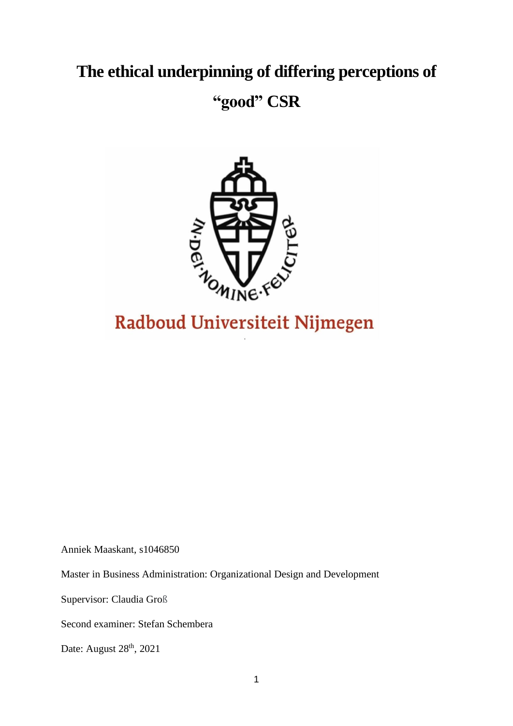# **The ethical underpinning of differing perceptions of**

# **"good" CSR**



# Radboud Universiteit Nijmegen

Anniek Maaskant, s1046850

Master in Business Administration: Organizational Design and Development

Supervisor: Claudia Groß

Second examiner: Stefan Schembera

Date: August 28<sup>th</sup>, 2021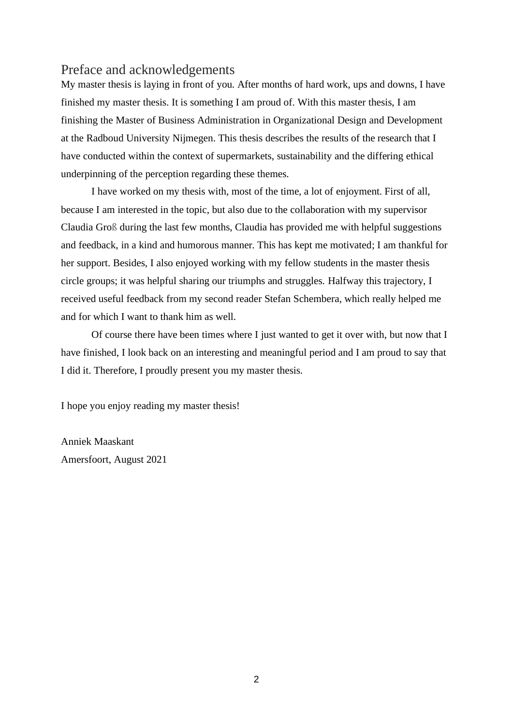# <span id="page-1-0"></span>Preface and acknowledgements

My master thesis is laying in front of you. After months of hard work, ups and downs, I have finished my master thesis. It is something I am proud of. With this master thesis, I am finishing the Master of Business Administration in Organizational Design and Development at the Radboud University Nijmegen. This thesis describes the results of the research that I have conducted within the context of supermarkets, sustainability and the differing ethical underpinning of the perception regarding these themes.

I have worked on my thesis with, most of the time, a lot of enjoyment. First of all, because I am interested in the topic, but also due to the collaboration with my supervisor Claudia Groß during the last few months, Claudia has provided me with helpful suggestions and feedback, in a kind and humorous manner. This has kept me motivated; I am thankful for her support. Besides, I also enjoyed working with my fellow students in the master thesis circle groups; it was helpful sharing our triumphs and struggles. Halfway this trajectory, I received useful feedback from my second reader Stefan Schembera, which really helped me and for which I want to thank him as well.

Of course there have been times where I just wanted to get it over with, but now that I have finished, I look back on an interesting and meaningful period and I am proud to say that I did it. Therefore, I proudly present you my master thesis.

I hope you enjoy reading my master thesis!

Anniek Maaskant Amersfoort, August 2021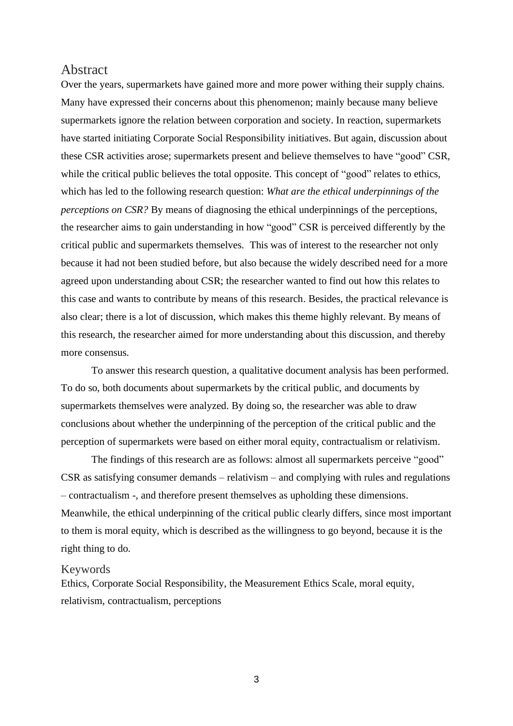# <span id="page-2-0"></span>Abstract

Over the years, supermarkets have gained more and more power withing their supply chains. Many have expressed their concerns about this phenomenon; mainly because many believe supermarkets ignore the relation between corporation and society. In reaction, supermarkets have started initiating Corporate Social Responsibility initiatives. But again, discussion about these CSR activities arose; supermarkets present and believe themselves to have "good" CSR, while the critical public believes the total opposite. This concept of "good" relates to ethics, which has led to the following research question: *What are the ethical underpinnings of the perceptions on CSR?* By means of diagnosing the ethical underpinnings of the perceptions, the researcher aims to gain understanding in how "good" CSR is perceived differently by the critical public and supermarkets themselves. This was of interest to the researcher not only because it had not been studied before, but also because the widely described need for a more agreed upon understanding about CSR; the researcher wanted to find out how this relates to this case and wants to contribute by means of this research. Besides, the practical relevance is also clear; there is a lot of discussion, which makes this theme highly relevant. By means of this research, the researcher aimed for more understanding about this discussion, and thereby more consensus.

To answer this research question, a qualitative document analysis has been performed. To do so, both documents about supermarkets by the critical public, and documents by supermarkets themselves were analyzed. By doing so, the researcher was able to draw conclusions about whether the underpinning of the perception of the critical public and the perception of supermarkets were based on either moral equity, contractualism or relativism.

The findings of this research are as follows: almost all supermarkets perceive "good" CSR as satisfying consumer demands – relativism – and complying with rules and regulations – contractualism -, and therefore present themselves as upholding these dimensions. Meanwhile, the ethical underpinning of the critical public clearly differs, since most important to them is moral equity, which is described as the willingness to go beyond, because it is the right thing to do.

#### <span id="page-2-1"></span>Keywords

Ethics, Corporate Social Responsibility, the Measurement Ethics Scale, moral equity, relativism, contractualism, perceptions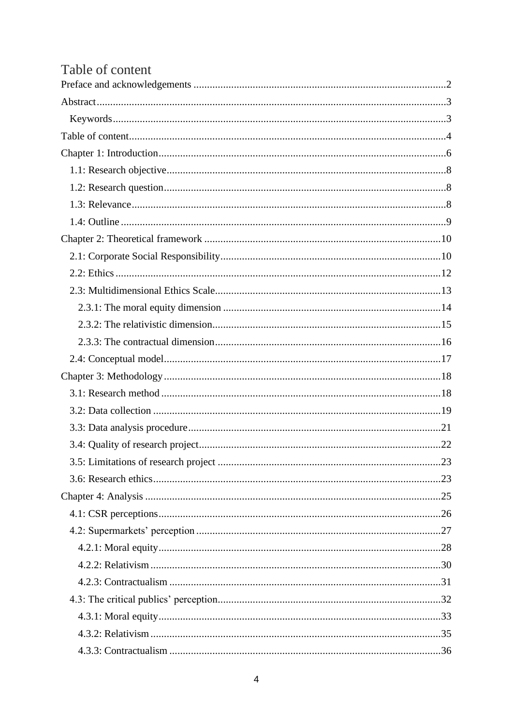<span id="page-3-0"></span>

| Table of content |  |
|------------------|--|
|                  |  |
|                  |  |
|                  |  |
|                  |  |
|                  |  |
|                  |  |
|                  |  |
|                  |  |
|                  |  |
|                  |  |
|                  |  |
|                  |  |
|                  |  |
|                  |  |
|                  |  |
|                  |  |
|                  |  |
|                  |  |
|                  |  |
|                  |  |
|                  |  |
|                  |  |
|                  |  |
|                  |  |
|                  |  |
|                  |  |
|                  |  |
|                  |  |
|                  |  |
|                  |  |
|                  |  |
|                  |  |
|                  |  |
|                  |  |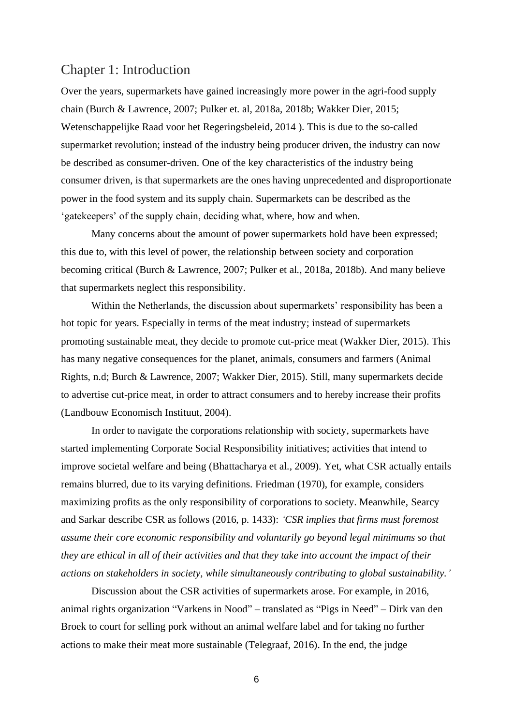# <span id="page-5-0"></span>Chapter 1: Introduction

Over the years, supermarkets have gained increasingly more power in the agri-food supply chain (Burch & Lawrence, 2007; Pulker et. al, 2018a, 2018b; Wakker Dier, 2015; Wetenschappelijke Raad voor het Regeringsbeleid, 2014 ). This is due to the so-called supermarket revolution; instead of the industry being producer driven, the industry can now be described as consumer-driven. One of the key characteristics of the industry being consumer driven, is that supermarkets are the ones having unprecedented and disproportionate power in the food system and its supply chain. Supermarkets can be described as the 'gatekeepers' of the supply chain, deciding what, where, how and when.

Many concerns about the amount of power supermarkets hold have been expressed; this due to, with this level of power, the relationship between society and corporation becoming critical (Burch & Lawrence, 2007; Pulker et al., 2018a, 2018b). And many believe that supermarkets neglect this responsibility.

Within the Netherlands, the discussion about supermarkets' responsibility has been a hot topic for years. Especially in terms of the meat industry; instead of supermarkets promoting sustainable meat, they decide to promote cut-price meat (Wakker Dier, 2015). This has many negative consequences for the planet, animals, consumers and farmers (Animal Rights, n.d; Burch & Lawrence, 2007; Wakker Dier, 2015). Still, many supermarkets decide to advertise cut-price meat, in order to attract consumers and to hereby increase their profits (Landbouw Economisch Instituut, 2004).

In order to navigate the corporations relationship with society, supermarkets have started implementing Corporate Social Responsibility initiatives; activities that intend to improve societal welfare and being (Bhattacharya et al., 2009). Yet, what CSR actually entails remains blurred, due to its varying definitions. Friedman (1970), for example, considers maximizing profits as the only responsibility of corporations to society. Meanwhile, Searcy and Sarkar describe CSR as follows (2016, p. 1433): *'CSR implies that firms must foremost assume their core economic responsibility and voluntarily go beyond legal minimums so that they are ethical in all of their activities and that they take into account the impact of their actions on stakeholders in society, while simultaneously contributing to global sustainability.'*

Discussion about the CSR activities of supermarkets arose. For example, in 2016, animal rights organization "Varkens in Nood" – translated as "Pigs in Need" – Dirk van den Broek to court for selling pork without an animal welfare label and for taking no further actions to make their meat more sustainable (Telegraaf, 2016). In the end, the judge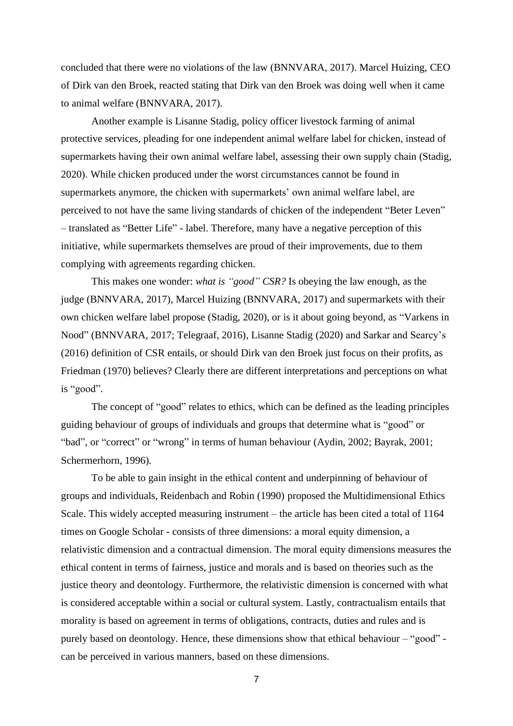concluded that there were no violations of the law (BNNVARA, 2017). Marcel Huizing, CEO of Dirk van den Broek, reacted stating that Dirk van den Broek was doing well when it came to animal welfare (BNNVARA, 2017).

Another example is Lisanne Stadig, policy officer livestock farming of animal protective services, pleading for one independent animal welfare label for chicken, instead of supermarkets having their own animal welfare label, assessing their own supply chain (Stadig, 2020). While chicken produced under the worst circumstances cannot be found in supermarkets anymore, the chicken with supermarkets' own animal welfare label, are perceived to not have the same living standards of chicken of the independent "Beter Leven" – translated as "Better Life" - label. Therefore, many have a negative perception of this initiative, while supermarkets themselves are proud of their improvements, due to them complying with agreements regarding chicken.

This makes one wonder: *what is "good" CSR?* Is obeying the law enough, as the judge (BNNVARA, 2017), Marcel Huizing (BNNVARA, 2017) and supermarkets with their own chicken welfare label propose (Stadig, 2020), or is it about going beyond, as "Varkens in Nood" (BNNVARA, 2017; Telegraaf, 2016), Lisanne Stadig (2020) and Sarkar and Searcy's (2016) definition of CSR entails, or should Dirk van den Broek just focus on their profits, as Friedman (1970) believes? Clearly there are different interpretations and perceptions on what is "good".

The concept of "good" relates to ethics, which can be defined as the leading principles guiding behaviour of groups of individuals and groups that determine what is "good" or "bad", or "correct" or "wrong" in terms of human behaviour (Aydin, 2002; Bayrak, 2001; Schermerhorn, 1996).

To be able to gain insight in the ethical content and underpinning of behaviour of groups and individuals, Reidenbach and Robin (1990) proposed the Multidimensional Ethics Scale. This widely accepted measuring instrument – the article has been cited a total of 1164 times on Google Scholar - consists of three dimensions: a moral equity dimension, a relativistic dimension and a contractual dimension. The moral equity dimensions measures the ethical content in terms of fairness, justice and morals and is based on theories such as the justice theory and deontology. Furthermore, the relativistic dimension is concerned with what is considered acceptable within a social or cultural system. Lastly, contractualism entails that morality is based on agreement in terms of obligations, contracts, duties and rules and is purely based on deontology. Hence, these dimensions show that ethical behaviour – "good" can be perceived in various manners, based on these dimensions.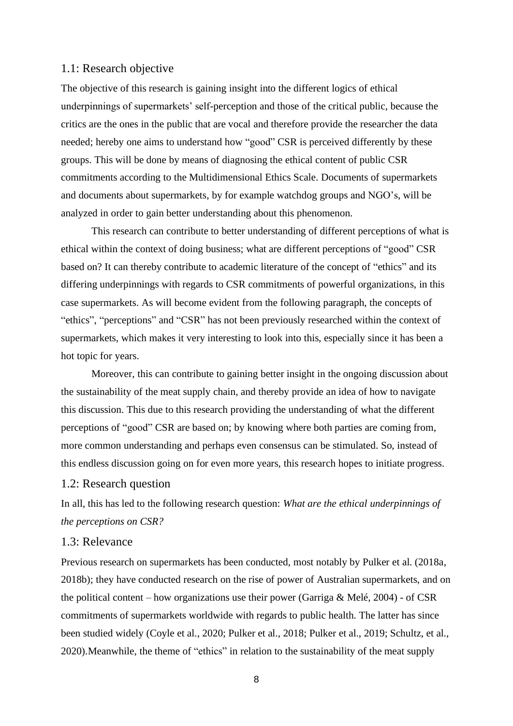### <span id="page-7-0"></span>1.1: Research objective

The objective of this research is gaining insight into the different logics of ethical underpinnings of supermarkets' self-perception and those of the critical public, because the critics are the ones in the public that are vocal and therefore provide the researcher the data needed; hereby one aims to understand how "good" CSR is perceived differently by these groups. This will be done by means of diagnosing the ethical content of public CSR commitments according to the Multidimensional Ethics Scale. Documents of supermarkets and documents about supermarkets, by for example watchdog groups and NGO's, will be analyzed in order to gain better understanding about this phenomenon.

This research can contribute to better understanding of different perceptions of what is ethical within the context of doing business; what are different perceptions of "good" CSR based on? It can thereby contribute to academic literature of the concept of "ethics" and its differing underpinnings with regards to CSR commitments of powerful organizations, in this case supermarkets. As will become evident from the following paragraph, the concepts of "ethics", "perceptions" and "CSR" has not been previously researched within the context of supermarkets, which makes it very interesting to look into this, especially since it has been a hot topic for years.

Moreover, this can contribute to gaining better insight in the ongoing discussion about the sustainability of the meat supply chain, and thereby provide an idea of how to navigate this discussion. This due to this research providing the understanding of what the different perceptions of "good" CSR are based on; by knowing where both parties are coming from, more common understanding and perhaps even consensus can be stimulated. So, instead of this endless discussion going on for even more years, this research hopes to initiate progress.

#### <span id="page-7-1"></span>1.2: Research question

In all, this has led to the following research question: *What are the ethical underpinnings of the perceptions on CSR?*

### <span id="page-7-2"></span>1.3: Relevance

Previous research on supermarkets has been conducted, most notably by Pulker et al. (2018a, 2018b); they have conducted research on the rise of power of Australian supermarkets, and on the political content – how organizations use their power (Garriga & Melé, 2004) - of CSR commitments of supermarkets worldwide with regards to public health. The latter has since been studied widely (Coyle et al., 2020; Pulker et al., 2018; Pulker et al., 2019; Schultz, et al., 2020).Meanwhile, the theme of "ethics" in relation to the sustainability of the meat supply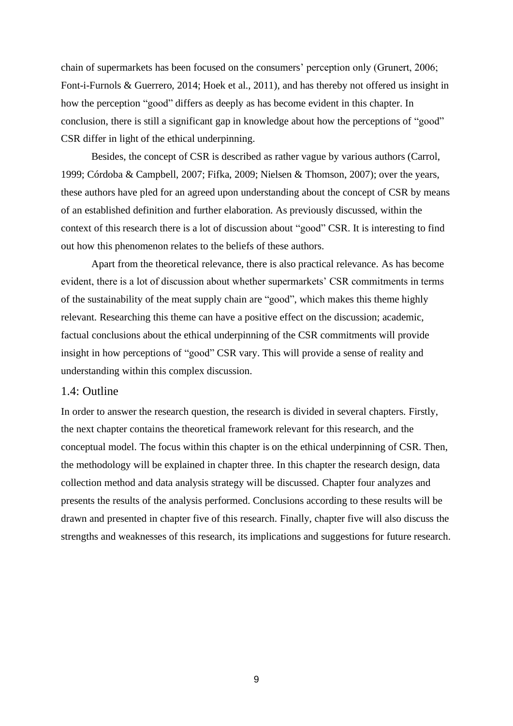chain of supermarkets has been focused on the consumers' perception only (Grunert, 2006; Font-i-Furnols & Guerrero, 2014; Hoek et al., 2011), and has thereby not offered us insight in how the perception "good" differs as deeply as has become evident in this chapter. In conclusion, there is still a significant gap in knowledge about how the perceptions of "good" CSR differ in light of the ethical underpinning.

Besides, the concept of CSR is described as rather vague by various authors (Carrol, 1999; Córdoba & Campbell, 2007; Fifka, 2009; Nielsen & Thomson, 2007); over the years, these authors have pled for an agreed upon understanding about the concept of CSR by means of an established definition and further elaboration. As previously discussed, within the context of this research there is a lot of discussion about "good" CSR. It is interesting to find out how this phenomenon relates to the beliefs of these authors.

Apart from the theoretical relevance, there is also practical relevance. As has become evident, there is a lot of discussion about whether supermarkets' CSR commitments in terms of the sustainability of the meat supply chain are "good", which makes this theme highly relevant. Researching this theme can have a positive effect on the discussion; academic, factual conclusions about the ethical underpinning of the CSR commitments will provide insight in how perceptions of "good" CSR vary. This will provide a sense of reality and understanding within this complex discussion.

# <span id="page-8-0"></span>1.4: Outline

In order to answer the research question, the research is divided in several chapters. Firstly, the next chapter contains the theoretical framework relevant for this research, and the conceptual model. The focus within this chapter is on the ethical underpinning of CSR. Then, the methodology will be explained in chapter three. In this chapter the research design, data collection method and data analysis strategy will be discussed. Chapter four analyzes and presents the results of the analysis performed. Conclusions according to these results will be drawn and presented in chapter five of this research. Finally, chapter five will also discuss the strengths and weaknesses of this research, its implications and suggestions for future research.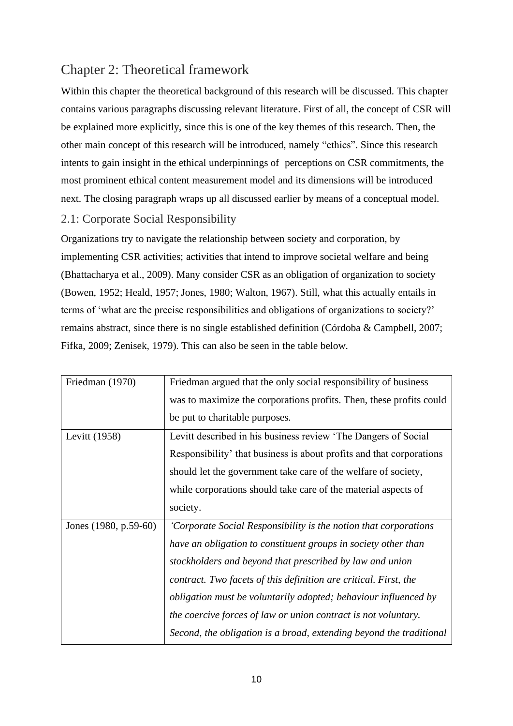# <span id="page-9-0"></span>Chapter 2: Theoretical framework

Within this chapter the theoretical background of this research will be discussed. This chapter contains various paragraphs discussing relevant literature. First of all, the concept of CSR will be explained more explicitly, since this is one of the key themes of this research. Then, the other main concept of this research will be introduced, namely "ethics". Since this research intents to gain insight in the ethical underpinnings of perceptions on CSR commitments, the most prominent ethical content measurement model and its dimensions will be introduced next. The closing paragraph wraps up all discussed earlier by means of a conceptual model.

# <span id="page-9-1"></span>2.1: Corporate Social Responsibility

Organizations try to navigate the relationship between society and corporation, by implementing CSR activities; activities that intend to improve societal welfare and being (Bhattacharya et al., 2009). Many consider CSR as an obligation of organization to society (Bowen, 1952; Heald, 1957; Jones, 1980; Walton, 1967). Still, what this actually entails in terms of 'what are the precise responsibilities and obligations of organizations to society?' remains abstract, since there is no single established definition (Córdoba & Campbell, 2007; Fifka, 2009; Zenisek, 1979). This can also be seen in the table below.

| Friedman (1970)       | Friedman argued that the only social responsibility of business        |
|-----------------------|------------------------------------------------------------------------|
|                       | was to maximize the corporations profits. Then, these profits could    |
|                       | be put to charitable purposes.                                         |
| Levitt (1958)         | Levitt described in his business review 'The Dangers of Social         |
|                       | Responsibility' that business is about profits and that corporations   |
|                       | should let the government take care of the welfare of society,         |
|                       | while corporations should take care of the material aspects of         |
|                       | society.                                                               |
| Jones (1980, p.59-60) | 'Corporate Social Responsibility is the notion that corporations       |
|                       | have an obligation to constituent groups in society other than         |
|                       | stockholders and beyond that prescribed by law and union               |
|                       | contract. Two facets of this definition are critical. First, the       |
|                       | <i>obligation must be voluntarily adopted; behaviour influenced by</i> |
|                       | the coercive forces of law or union contract is not voluntary.         |
|                       | Second, the obligation is a broad, extending beyond the traditional    |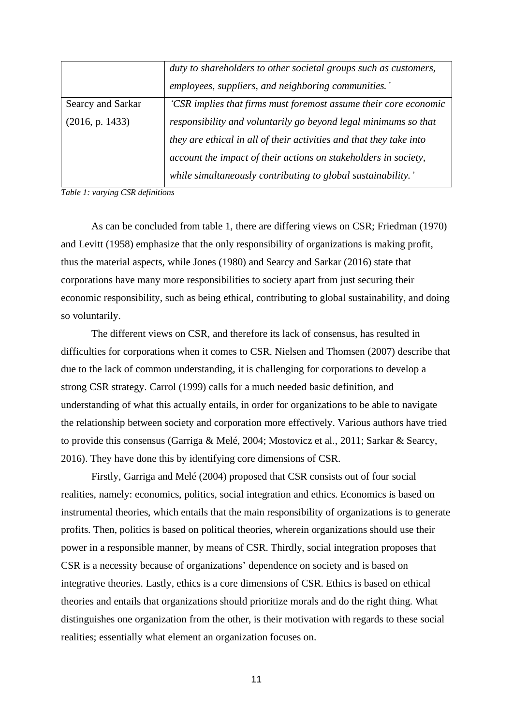|                   | duty to shareholders to other societal groups such as customers,    |
|-------------------|---------------------------------------------------------------------|
|                   | employees, suppliers, and neighboring communities.'                 |
| Searcy and Sarkar | 'CSR implies that firms must foremost assume their core economic    |
| (2016, p. 1433)   | responsibility and voluntarily go beyond legal minimums so that     |
|                   | they are ethical in all of their activities and that they take into |
|                   | account the impact of their actions on stakeholders in society,     |
|                   | while simultaneously contributing to global sustainability.'        |

*Table 1: varying CSR definitions*

As can be concluded from table 1, there are differing views on CSR; Friedman (1970) and Levitt (1958) emphasize that the only responsibility of organizations is making profit, thus the material aspects, while Jones (1980) and Searcy and Sarkar (2016) state that corporations have many more responsibilities to society apart from just securing their economic responsibility, such as being ethical, contributing to global sustainability, and doing so voluntarily.

The different views on CSR, and therefore its lack of consensus, has resulted in difficulties for corporations when it comes to CSR. Nielsen and Thomsen (2007) describe that due to the lack of common understanding, it is challenging for corporations to develop a strong CSR strategy. Carrol (1999) calls for a much needed basic definition, and understanding of what this actually entails, in order for organizations to be able to navigate the relationship between society and corporation more effectively. Various authors have tried to provide this consensus (Garriga & Melé, 2004; Mostovicz et al., 2011; Sarkar & Searcy, 2016). They have done this by identifying core dimensions of CSR.

Firstly, Garriga and Melé (2004) proposed that CSR consists out of four social realities, namely: economics, politics, social integration and ethics. Economics is based on instrumental theories, which entails that the main responsibility of organizations is to generate profits. Then, politics is based on political theories, wherein organizations should use their power in a responsible manner, by means of CSR. Thirdly, social integration proposes that CSR is a necessity because of organizations' dependence on society and is based on integrative theories. Lastly, ethics is a core dimensions of CSR. Ethics is based on ethical theories and entails that organizations should prioritize morals and do the right thing. What distinguishes one organization from the other, is their motivation with regards to these social realities; essentially what element an organization focuses on.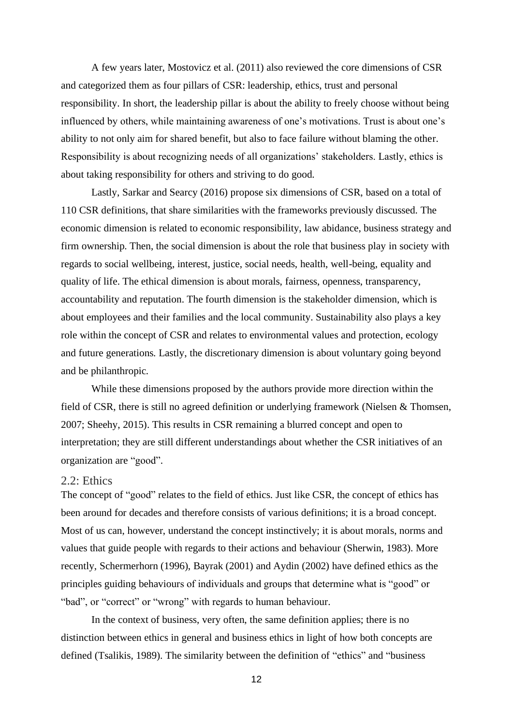A few years later, Mostovicz et al. (2011) also reviewed the core dimensions of CSR and categorized them as four pillars of CSR: leadership, ethics, trust and personal responsibility. In short, the leadership pillar is about the ability to freely choose without being influenced by others, while maintaining awareness of one's motivations. Trust is about one's ability to not only aim for shared benefit, but also to face failure without blaming the other. Responsibility is about recognizing needs of all organizations' stakeholders. Lastly, ethics is about taking responsibility for others and striving to do good.

Lastly, Sarkar and Searcy (2016) propose six dimensions of CSR, based on a total of 110 CSR definitions, that share similarities with the frameworks previously discussed. The economic dimension is related to economic responsibility, law abidance, business strategy and firm ownership. Then, the social dimension is about the role that business play in society with regards to social wellbeing, interest, justice, social needs, health, well-being, equality and quality of life. The ethical dimension is about morals, fairness, openness, transparency, accountability and reputation. The fourth dimension is the stakeholder dimension, which is about employees and their families and the local community. Sustainability also plays a key role within the concept of CSR and relates to environmental values and protection, ecology and future generations. Lastly, the discretionary dimension is about voluntary going beyond and be philanthropic.

While these dimensions proposed by the authors provide more direction within the field of CSR, there is still no agreed definition or underlying framework (Nielsen & Thomsen, 2007; Sheehy, 2015). This results in CSR remaining a blurred concept and open to interpretation; they are still different understandings about whether the CSR initiatives of an organization are "good".

#### <span id="page-11-0"></span>2.2: Ethics

The concept of "good" relates to the field of ethics. Just like CSR, the concept of ethics has been around for decades and therefore consists of various definitions; it is a broad concept. Most of us can, however, understand the concept instinctively; it is about morals, norms and values that guide people with regards to their actions and behaviour (Sherwin, 1983). More recently, Schermerhorn (1996), Bayrak (2001) and Aydin (2002) have defined ethics as the principles guiding behaviours of individuals and groups that determine what is "good" or "bad", or "correct" or "wrong" with regards to human behaviour.

In the context of business, very often, the same definition applies; there is no distinction between ethics in general and business ethics in light of how both concepts are defined (Tsalikis, 1989). The similarity between the definition of "ethics" and "business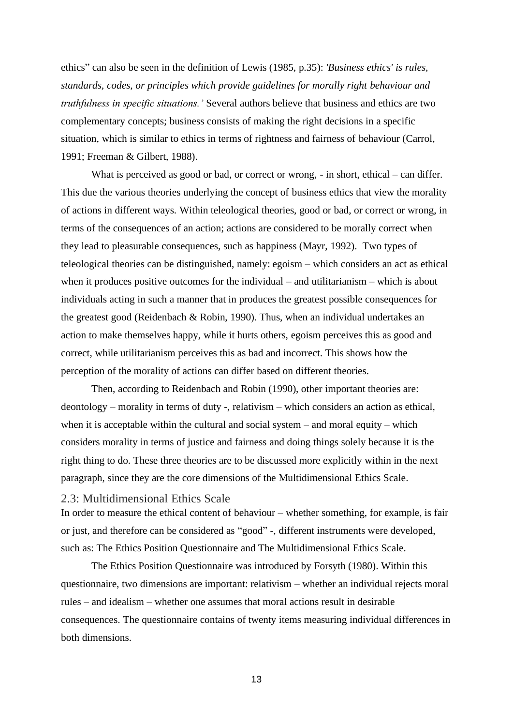ethics" can also be seen in the definition of Lewis (1985, p.35): *'Business ethics' is rules, standards, codes, or principles which provide guidelines for morally right behaviour and truthfulness in specific situations.'* Several authors believe that business and ethics are two complementary concepts; business consists of making the right decisions in a specific situation, which is similar to ethics in terms of rightness and fairness of behaviour (Carrol, 1991; Freeman & Gilbert, 1988).

What is perceived as good or bad, or correct or wrong, - in short, ethical – can differ. This due the various theories underlying the concept of business ethics that view the morality of actions in different ways. Within teleological theories, good or bad, or correct or wrong, in terms of the consequences of an action; actions are considered to be morally correct when they lead to pleasurable consequences, such as happiness (Mayr, 1992). Two types of teleological theories can be distinguished, namely: egoism – which considers an act as ethical when it produces positive outcomes for the individual – and utilitarianism – which is about individuals acting in such a manner that in produces the greatest possible consequences for the greatest good (Reidenbach & Robin, 1990). Thus, when an individual undertakes an action to make themselves happy, while it hurts others, egoism perceives this as good and correct, while utilitarianism perceives this as bad and incorrect. This shows how the perception of the morality of actions can differ based on different theories.

Then, according to Reidenbach and Robin (1990), other important theories are: deontology – morality in terms of duty -, relativism – which considers an action as ethical, when it is acceptable within the cultural and social system – and moral equity – which considers morality in terms of justice and fairness and doing things solely because it is the right thing to do. These three theories are to be discussed more explicitly within in the next paragraph, since they are the core dimensions of the Multidimensional Ethics Scale.

#### <span id="page-12-0"></span>2.3: Multidimensional Ethics Scale

In order to measure the ethical content of behaviour – whether something, for example, is fair or just, and therefore can be considered as "good" -, different instruments were developed, such as: The Ethics Position Questionnaire and The Multidimensional Ethics Scale.

The Ethics Position Questionnaire was introduced by Forsyth (1980). Within this questionnaire, two dimensions are important: relativism – whether an individual rejects moral rules – and idealism – whether one assumes that moral actions result in desirable consequences. The questionnaire contains of twenty items measuring individual differences in both dimensions.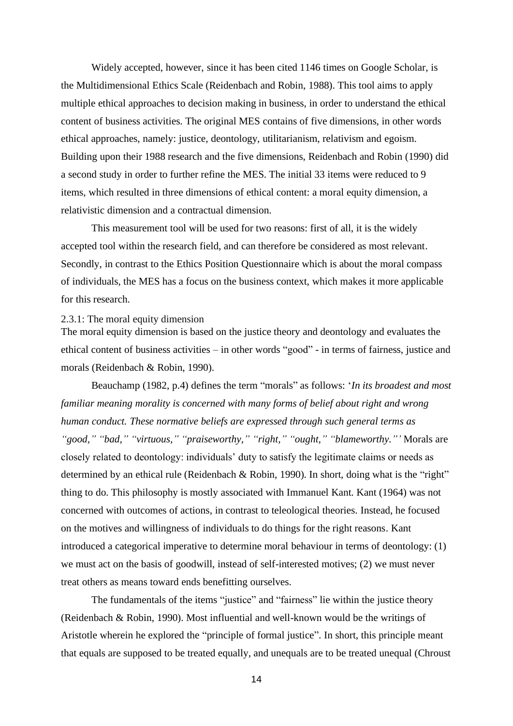Widely accepted, however, since it has been cited 1146 times on Google Scholar, is the Multidimensional Ethics Scale (Reidenbach and Robin, 1988). This tool aims to apply multiple ethical approaches to decision making in business, in order to understand the ethical content of business activities. The original MES contains of five dimensions, in other words ethical approaches, namely: justice, deontology, utilitarianism, relativism and egoism. Building upon their 1988 research and the five dimensions, Reidenbach and Robin (1990) did a second study in order to further refine the MES. The initial 33 items were reduced to 9 items, which resulted in three dimensions of ethical content: a moral equity dimension, a relativistic dimension and a contractual dimension.

This measurement tool will be used for two reasons: first of all, it is the widely accepted tool within the research field, and can therefore be considered as most relevant. Secondly, in contrast to the Ethics Position Questionnaire which is about the moral compass of individuals, the MES has a focus on the business context, which makes it more applicable for this research.

#### <span id="page-13-0"></span>2.3.1: The moral equity dimension

The moral equity dimension is based on the justice theory and deontology and evaluates the ethical content of business activities – in other words "good" - in terms of fairness, justice and morals (Reidenbach & Robin, 1990).

Beauchamp (1982, p.4) defines the term "morals" as follows: '*In its broadest and most familiar meaning morality is concerned with many forms of belief about right and wrong human conduct. These normative beliefs are expressed through such general terms as "good," "bad," "virtuous," "praiseworthy," "right," "ought," "blameworthy."'* Morals are closely related to deontology: individuals' duty to satisfy the legitimate claims or needs as determined by an ethical rule (Reidenbach & Robin, 1990). In short, doing what is the "right" thing to do. This philosophy is mostly associated with Immanuel Kant. Kant (1964) was not concerned with outcomes of actions, in contrast to teleological theories. Instead, he focused on the motives and willingness of individuals to do things for the right reasons. Kant introduced a categorical imperative to determine moral behaviour in terms of deontology: (1) we must act on the basis of goodwill, instead of self-interested motives; (2) we must never treat others as means toward ends benefitting ourselves.

The fundamentals of the items "justice" and "fairness" lie within the justice theory (Reidenbach & Robin, 1990). Most influential and well-known would be the writings of Aristotle wherein he explored the "principle of formal justice". In short, this principle meant that equals are supposed to be treated equally, and unequals are to be treated unequal (Chroust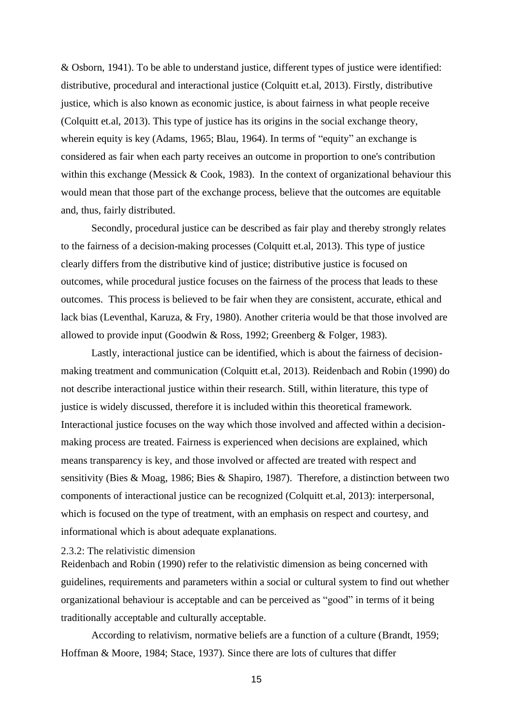& Osborn, 1941). To be able to understand justice, different types of justice were identified: distributive, procedural and interactional justice (Colquitt et.al, 2013). Firstly, distributive justice, which is also known as economic justice, is about fairness in what people receive (Colquitt et.al, 2013). This type of justice has its origins in the social exchange theory, wherein equity is key (Adams, 1965; Blau, 1964). In terms of "equity" an exchange is considered as fair when each party receives an outcome in proportion to one's contribution within this exchange (Messick  $& Cook, 1983$ ). In the context of organizational behaviour this would mean that those part of the exchange process, believe that the outcomes are equitable and, thus, fairly distributed.

Secondly, procedural justice can be described as fair play and thereby strongly relates to the fairness of a decision-making processes (Colquitt et.al, 2013). This type of justice clearly differs from the distributive kind of justice; distributive justice is focused on outcomes, while procedural justice focuses on the fairness of the process that leads to these outcomes. This process is believed to be fair when they are consistent, accurate, ethical and lack bias (Leventhal, Karuza, & Fry, 1980). Another criteria would be that those involved are allowed to provide input (Goodwin & Ross, 1992; Greenberg & Folger, 1983).

Lastly, interactional justice can be identified, which is about the fairness of decisionmaking treatment and communication (Colquitt et.al, 2013). Reidenbach and Robin (1990) do not describe interactional justice within their research. Still, within literature, this type of justice is widely discussed, therefore it is included within this theoretical framework. Interactional justice focuses on the way which those involved and affected within a decisionmaking process are treated. Fairness is experienced when decisions are explained, which means transparency is key, and those involved or affected are treated with respect and sensitivity (Bies & Moag, 1986; Bies & Shapiro, 1987). Therefore, a distinction between two components of interactional justice can be recognized (Colquitt et.al, 2013): interpersonal, which is focused on the type of treatment, with an emphasis on respect and courtesy, and informational which is about adequate explanations.

### <span id="page-14-0"></span>2.3.2: The relativistic dimension

Reidenbach and Robin (1990) refer to the relativistic dimension as being concerned with guidelines, requirements and parameters within a social or cultural system to find out whether organizational behaviour is acceptable and can be perceived as "good" in terms of it being traditionally acceptable and culturally acceptable.

According to relativism, normative beliefs are a function of a culture (Brandt, 1959; Hoffman & Moore, 1984; Stace, 1937). Since there are lots of cultures that differ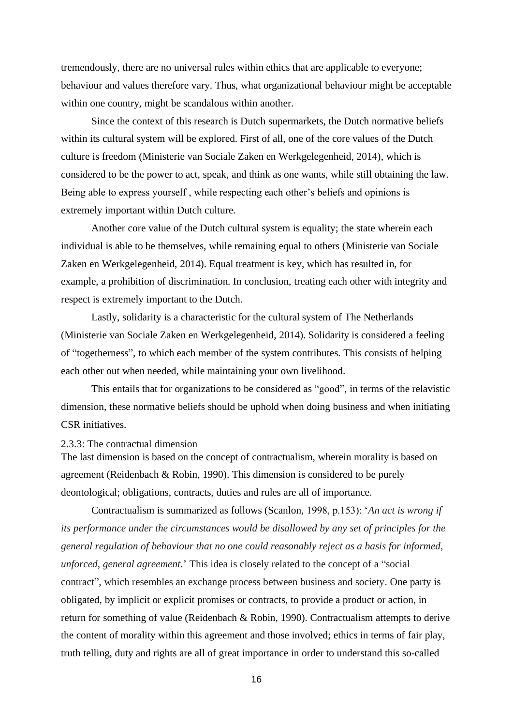tremendously, there are no universal rules within ethics that are applicable to everyone; behaviour and values therefore vary. Thus, what organizational behaviour might be acceptable within one country, might be scandalous within another.

Since the context of this research is Dutch supermarkets, the Dutch normative beliefs within its cultural system will be explored. First of all, one of the core values of the Dutch culture is freedom (Ministerie van Sociale Zaken en Werkgelegenheid, 2014), which is considered to be the power to act, speak, and think as one wants, while still obtaining the law. Being able to express yourself , while respecting each other's beliefs and opinions is extremely important within Dutch culture.

Another core value of the Dutch cultural system is equality; the state wherein each individual is able to be themselves, while remaining equal to others (Ministerie van Sociale Zaken en Werkgelegenheid, 2014). Equal treatment is key, which has resulted in, for example, a prohibition of discrimination. In conclusion, treating each other with integrity and respect is extremely important to the Dutch.

Lastly, solidarity is a characteristic for the cultural system of The Netherlands (Ministerie van Sociale Zaken en Werkgelegenheid, 2014). Solidarity is considered a feeling of "togetherness", to which each member of the system contributes. This consists of helping each other out when needed, while maintaining your own livelihood.

This entails that for organizations to be considered as "good", in terms of the relavistic dimension, these normative beliefs should be uphold when doing business and when initiating CSR initiatives.

#### <span id="page-15-0"></span>2.3.3: The contractual dimension

The last dimension is based on the concept of contractualism, wherein morality is based on agreement (Reidenbach & Robin, 1990). This dimension is considered to be purely deontological; obligations, contracts, duties and rules are all of importance.

Contractualism is summarized as follows (Scanlon, 1998, p.153): '*An act is wrong if its performance under the circumstances would be disallowed by any set of principles for the general regulation of behaviour that no one could reasonably reject as a basis for informed, unforced, general agreement.*' This idea is closely related to the concept of a "social contract", which resembles an exchange process between business and society. One party is obligated, by implicit or explicit promises or contracts, to provide a product or action, in return for something of value (Reidenbach & Robin, 1990). Contractualism attempts to derive the content of morality within this agreement and those involved; ethics in terms of fair play, truth telling, duty and rights are all of great importance in order to understand this so-called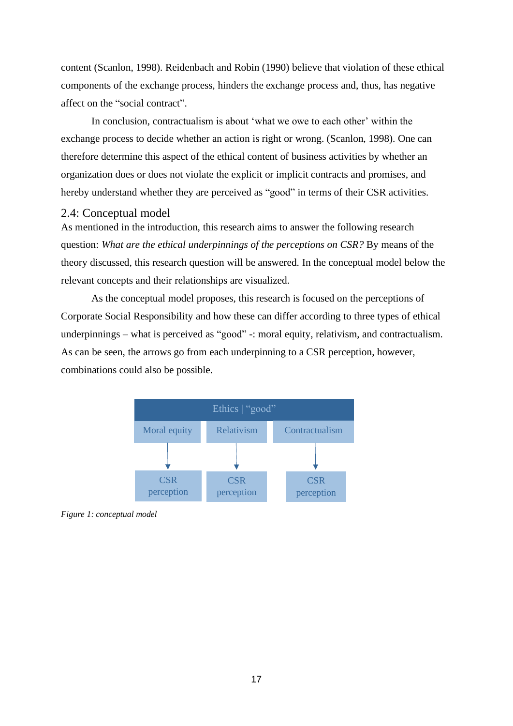content (Scanlon, 1998). Reidenbach and Robin (1990) believe that violation of these ethical components of the exchange process, hinders the exchange process and, thus, has negative affect on the "social contract".

In conclusion, contractualism is about 'what we owe to each other' within the exchange process to decide whether an action is right or wrong. (Scanlon, 1998). One can therefore determine this aspect of the ethical content of business activities by whether an organization does or does not violate the explicit or implicit contracts and promises, and hereby understand whether they are perceived as "good" in terms of their CSR activities.

### <span id="page-16-0"></span>2.4: Conceptual model

As mentioned in the introduction, this research aims to answer the following research question: *What are the ethical underpinnings of the perceptions on CSR?* By means of the theory discussed, this research question will be answered. In the conceptual model below the relevant concepts and their relationships are visualized.

As the conceptual model proposes, this research is focused on the perceptions of Corporate Social Responsibility and how these can differ according to three types of ethical underpinnings – what is perceived as "good" -: moral equity, relativism, and contractualism. As can be seen, the arrows go from each underpinning to a CSR perception, however, combinations could also be possible.



*Figure 1: conceptual model*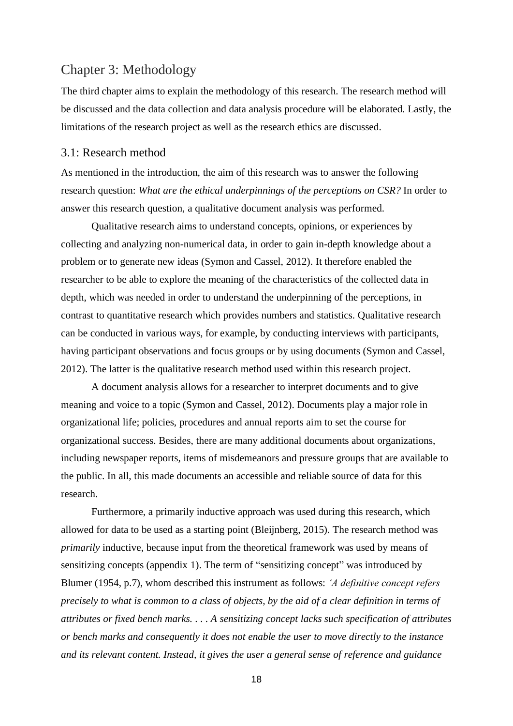# <span id="page-17-0"></span>Chapter 3: Methodology

The third chapter aims to explain the methodology of this research. The research method will be discussed and the data collection and data analysis procedure will be elaborated. Lastly, the limitations of the research project as well as the research ethics are discussed.

## <span id="page-17-1"></span>3.1: Research method

As mentioned in the introduction, the aim of this research was to answer the following research question: *What are the ethical underpinnings of the perceptions on CSR?* In order to answer this research question, a qualitative document analysis was performed.

Qualitative research aims to understand concepts, opinions, or experiences by collecting and analyzing non-numerical data, in order to gain in-depth knowledge about a problem or to generate new ideas (Symon and Cassel, 2012). It therefore enabled the researcher to be able to explore the meaning of the characteristics of the collected data in depth, which was needed in order to understand the underpinning of the perceptions, in contrast to quantitative research which provides numbers and statistics. Qualitative research can be conducted in various ways, for example, by conducting interviews with participants, having participant observations and focus groups or by using documents (Symon and Cassel, 2012). The latter is the qualitative research method used within this research project.

A document analysis allows for a researcher to interpret documents and to give meaning and voice to a topic (Symon and Cassel, 2012). Documents play a major role in organizational life; policies, procedures and annual reports aim to set the course for organizational success. Besides, there are many additional documents about organizations, including newspaper reports, items of misdemeanors and pressure groups that are available to the public. In all, this made documents an accessible and reliable source of data for this research.

Furthermore, a primarily inductive approach was used during this research, which allowed for data to be used as a starting point (Bleijnberg, 2015). The research method was *primarily* inductive, because input from the theoretical framework was used by means of sensitizing concepts (appendix 1). The term of "sensitizing concept" was introduced by Blumer (1954, p.7), whom described this instrument as follows: *'A definitive concept refers precisely to what is common to a class of objects, by the aid of a clear definition in terms of attributes or fixed bench marks. . . . A sensitizing concept lacks such specification of attributes or bench marks and consequently it does not enable the user to move directly to the instance and its relevant content. Instead, it gives the user a general sense of reference and guidance*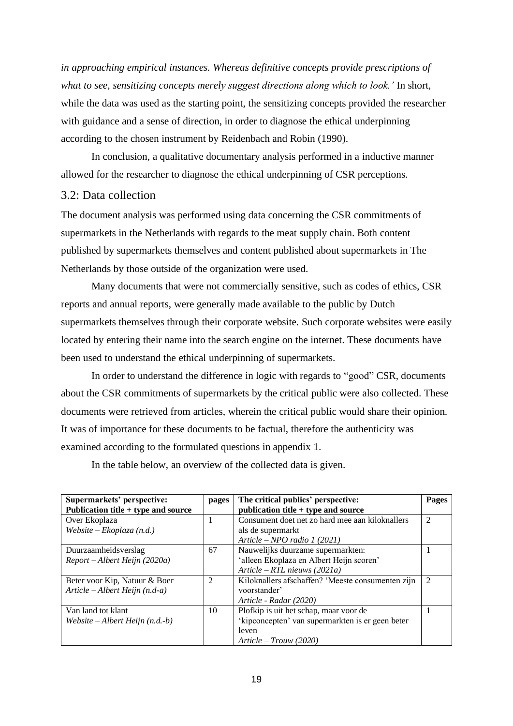*in approaching empirical instances. Whereas definitive concepts provide prescriptions of what to see, sensitizing concepts merely suggest directions along which to look.'* In short, while the data was used as the starting point, the sensitizing concepts provided the researcher with guidance and a sense of direction, in order to diagnose the ethical underpinning according to the chosen instrument by Reidenbach and Robin (1990).

In conclusion, a qualitative documentary analysis performed in a inductive manner allowed for the researcher to diagnose the ethical underpinning of CSR perceptions.

# <span id="page-18-0"></span>3.2: Data collection

The document analysis was performed using data concerning the CSR commitments of supermarkets in the Netherlands with regards to the meat supply chain. Both content published by supermarkets themselves and content published about supermarkets in The Netherlands by those outside of the organization were used.

Many documents that were not commercially sensitive, such as codes of ethics, CSR reports and annual reports, were generally made available to the public by Dutch supermarkets themselves through their corporate website. Such corporate websites were easily located by entering their name into the search engine on the internet. These documents have been used to understand the ethical underpinning of supermarkets.

In order to understand the difference in logic with regards to "good" CSR, documents about the CSR commitments of supermarkets by the critical public were also collected. These documents were retrieved from articles, wherein the critical public would share their opinion. It was of importance for these documents to be factual, therefore the authenticity was examined according to the formulated questions in appendix 1.

In the table below, an overview of the collected data is given.

| Supermarkets' perspective:<br>Publication title $+$ type and source | pages          | The critical publics' perspective:<br>publication title $+$ type and source | Pages          |
|---------------------------------------------------------------------|----------------|-----------------------------------------------------------------------------|----------------|
| Over Ekoplaza                                                       |                | Consument doet net zo hard mee aan kiloknallers                             | 2              |
| $Website-Ekoplaza(n.d.)$                                            |                | als de supermarkt                                                           |                |
|                                                                     |                | Article – NPO radio 1 (2021)                                                |                |
| Duurzaamheidsverslag                                                | 67             | Nauwelijks duurzame supermarkten:                                           |                |
| Report – Albert Heijn (2020a)                                       |                | 'alleen Ekoplaza en Albert Heijn scoren'                                    |                |
|                                                                     |                | Article – RTL nieuws (2021a)                                                |                |
| Beter voor Kip, Natuur & Boer                                       | $\mathfrak{D}$ | Kiloknallers afschaffen? 'Meeste consumenten zijn                           | $\mathfrak{D}$ |
| Article $-A$ lbert Heijn (n.d-a)                                    |                | voorstander'                                                                |                |
|                                                                     |                | Article - Radar (2020)                                                      |                |
| Van land tot klant                                                  | 10             | Plofkip is uit het schap, maar voor de                                      |                |
| Website – Albert Heijn $(n.d.-b)$                                   |                | 'kipconcepten' van supermarkten is er geen beter                            |                |
|                                                                     |                | leven                                                                       |                |
|                                                                     |                | $Article - Trouw (2020)$                                                    |                |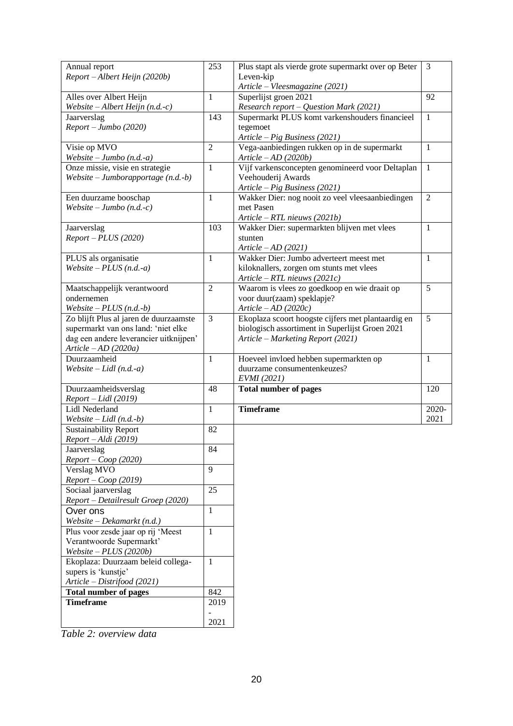| Annual report                          | 253            | Plus stapt als vierde grote supermarkt over op Beter | 3              |
|----------------------------------------|----------------|------------------------------------------------------|----------------|
| Report - Albert Heijn (2020b)          |                | Leven-kip                                            |                |
|                                        |                | Article - Vleesmagazine (2021)                       |                |
| Alles over Albert Heijn                | $\mathbf{1}$   | Superlijst groen 2021                                | 92             |
|                                        |                |                                                      |                |
| Website $-A$ lbert Heijn (n.d.-c)      |                | Research report - Question Mark (2021)               |                |
| Jaarverslag                            | 143            | Supermarkt PLUS komt varkenshouders financieel       | $\mathbf{1}$   |
| Report - Jumbo (2020)                  |                | tegemoet                                             |                |
|                                        |                | Article - Pig Business (2021)                        |                |
| Visie op MVO                           | $\overline{2}$ | Vega-aanbiedingen rukken op in de supermarkt         | $\mathbf{1}$   |
| Website $-$ Jumbo (n.d.-a)             |                | Article $-AD(2020b)$                                 |                |
| Onze missie, visie en strategie        | $\mathbf{1}$   | Vijf varkensconcepten genomineerd voor Deltaplan     | $\mathbf{1}$   |
| Website – Jumborapportage $(n.d.-b)$   |                | Veehouderij Awards                                   |                |
|                                        |                | Article - Pig Business (2021)                        |                |
| Een duurzame booschap                  | $\mathbf{1}$   | Wakker Dier: nog nooit zo veel vleesaanbiedingen     | $\overline{2}$ |
|                                        |                | met Pasen                                            |                |
| Website – Jumbo $(n.d.-c)$             |                |                                                      |                |
|                                        |                | Article $-RTL$ nieuws (2021b)                        |                |
| Jaarverslag                            | 103            | Wakker Dier: supermarkten blijven met vlees          | 1              |
| $Report - PLUS (2020)$                 |                | stunten                                              |                |
|                                        |                | Article $-AD(2021)$                                  |                |
| PLUS als organisatie                   | $\mathbf{1}$   | Wakker Dier: Jumbo adverteert meest met              | $\mathbf{1}$   |
| Website $-$ PLUS (n.d.-a)              |                | kiloknallers, zorgen om stunts met vlees             |                |
|                                        |                | Article - RTL nieuws (2021c)                         |                |
| Maatschappelijk verantwoord            | $\overline{2}$ | Waarom is vlees zo goedkoop en wie draait op         | 5              |
|                                        |                |                                                      |                |
| ondernemen                             |                | voor duur(zaam) speklapje?                           |                |
| Website $-$ PLUS (n.d.-b)              |                | Article $-AD(2020c)$                                 |                |
| Zo blijft Plus al jaren de duurzaamste | 3              | Ekoplaza scoort hoogste cijfers met plantaardig en   | 5              |
| supermarkt van ons land: 'niet elke    |                | biologisch assortiment in Superlijst Groen 2021      |                |
| dag een andere leverancier uitknijpen' |                | Article - Marketing Report (2021)                    |                |
| Article $-AD(2020a)$                   |                |                                                      |                |
| Duurzaamheid                           | $\mathbf{1}$   | Hoeveel invloed hebben supermarkten op               | $\mathbf{1}$   |
| Website – Lidl $(n.d.-a)$              |                | duurzame consumentenkeuzes?                          |                |
|                                        |                | EVMI (2021)                                          |                |
| Duurzaamheidsverslag                   | 48             | <b>Total number of pages</b>                         | 120            |
|                                        |                |                                                      |                |
| Report - Lidl (2019)                   |                |                                                      |                |
| Lidl Nederland                         | 1              | <b>Timeframe</b>                                     | 2020-          |
| Website $-Lidl$ (n.d.-b)               |                |                                                      | 2021           |
| <b>Sustainability Report</b>           | 82             |                                                      |                |
| Report - Aldi (2019)                   |                |                                                      |                |
| Jaarverslag                            | 84             |                                                      |                |
| $Report - Coop (2020)$                 |                |                                                      |                |
| Verslag MVO                            | 9              |                                                      |                |
| $Report - Coop (2019)$                 |                |                                                      |                |
| Sociaal jaarverslag                    | 25             |                                                      |                |
|                                        |                |                                                      |                |
| Report - Detailresult Groep (2020)     |                |                                                      |                |
| Over ons                               | $\mathbf{1}$   |                                                      |                |
| Website – Dekamarkt $(n.d.)$           |                |                                                      |                |
| Plus voor zesde jaar op rij 'Meest     | $\mathbf{1}$   |                                                      |                |
| Verantwoorde Supermarkt'               |                |                                                      |                |
| Website $-$ PLUS (2020b)               |                |                                                      |                |
| Ekoplaza: Duurzaam beleid collega-     | $\mathbf{1}$   |                                                      |                |
| supers is 'kunstje'                    |                |                                                      |                |
| Article - Distrifood (2021)            |                |                                                      |                |
|                                        | 842            |                                                      |                |
| <b>Total number of pages</b>           |                |                                                      |                |
| <b>Timeframe</b>                       | 2019           |                                                      |                |
|                                        |                |                                                      |                |
|                                        | 2021           |                                                      |                |

*Table 2: overview data*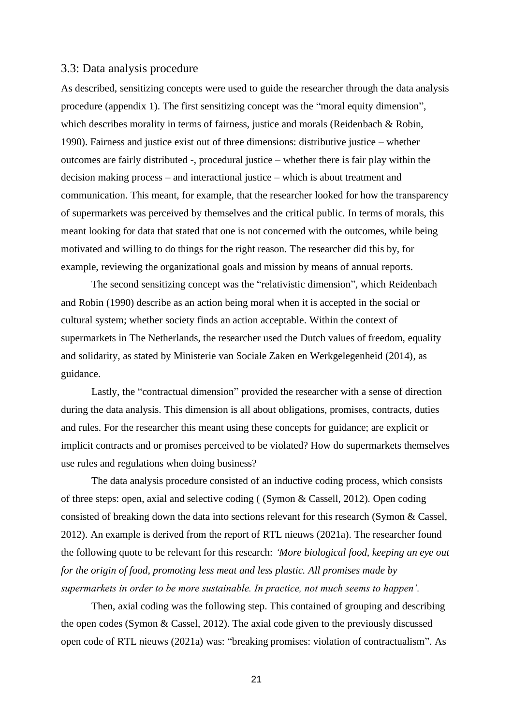## <span id="page-20-0"></span>3.3: Data analysis procedure

As described, sensitizing concepts were used to guide the researcher through the data analysis procedure (appendix 1). The first sensitizing concept was the "moral equity dimension", which describes morality in terms of fairness, justice and morals (Reidenbach & Robin, 1990). Fairness and justice exist out of three dimensions: distributive justice – whether outcomes are fairly distributed -, procedural justice – whether there is fair play within the decision making process – and interactional justice – which is about treatment and communication. This meant, for example, that the researcher looked for how the transparency of supermarkets was perceived by themselves and the critical public. In terms of morals, this meant looking for data that stated that one is not concerned with the outcomes, while being motivated and willing to do things for the right reason. The researcher did this by, for example, reviewing the organizational goals and mission by means of annual reports.

The second sensitizing concept was the "relativistic dimension", which Reidenbach and Robin (1990) describe as an action being moral when it is accepted in the social or cultural system; whether society finds an action acceptable. Within the context of supermarkets in The Netherlands, the researcher used the Dutch values of freedom, equality and solidarity, as stated by Ministerie van Sociale Zaken en Werkgelegenheid (2014), as guidance.

Lastly, the "contractual dimension" provided the researcher with a sense of direction during the data analysis. This dimension is all about obligations, promises, contracts, duties and rules. For the researcher this meant using these concepts for guidance; are explicit or implicit contracts and or promises perceived to be violated? How do supermarkets themselves use rules and regulations when doing business?

The data analysis procedure consisted of an inductive coding process, which consists of three steps: open, axial and selective coding ( (Symon & Cassell, 2012). Open coding consisted of breaking down the data into sections relevant for this research (Symon & Cassel, 2012). An example is derived from the report of RTL nieuws (2021a). The researcher found the following quote to be relevant for this research: *'More biological food, keeping an eye out for the origin of food, promoting less meat and less plastic. All promises made by supermarkets in order to be more sustainable. In practice, not much seems to happen'.*

Then, axial coding was the following step. This contained of grouping and describing the open codes (Symon & Cassel, 2012). The axial code given to the previously discussed open code of RTL nieuws (2021a) was: "breaking promises: violation of contractualism". As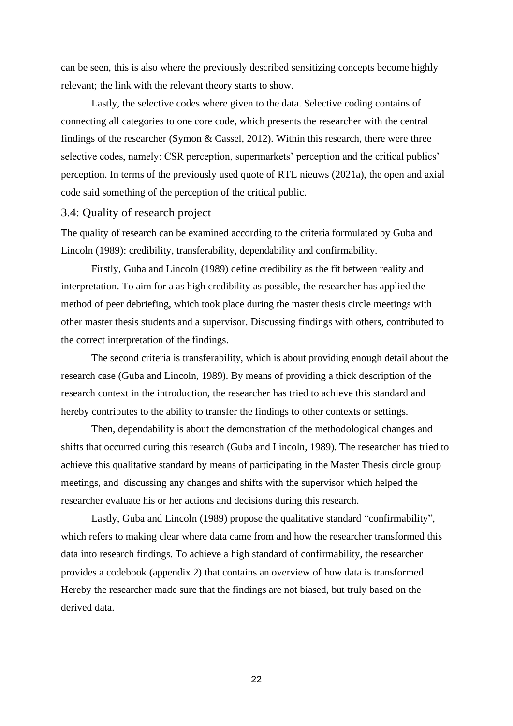can be seen, this is also where the previously described sensitizing concepts become highly relevant; the link with the relevant theory starts to show.

Lastly, the selective codes where given to the data. Selective coding contains of connecting all categories to one core code, which presents the researcher with the central findings of the researcher (Symon & Cassel, 2012). Within this research, there were three selective codes, namely: CSR perception, supermarkets' perception and the critical publics' perception. In terms of the previously used quote of RTL nieuws (2021a), the open and axial code said something of the perception of the critical public.

#### <span id="page-21-0"></span>3.4: Quality of research project

The quality of research can be examined according to the criteria formulated by Guba and Lincoln (1989): credibility, transferability, dependability and confirmability.

Firstly, Guba and Lincoln (1989) define credibility as the fit between reality and interpretation. To aim for a as high credibility as possible, the researcher has applied the method of peer debriefing, which took place during the master thesis circle meetings with other master thesis students and a supervisor. Discussing findings with others, contributed to the correct interpretation of the findings.

The second criteria is transferability, which is about providing enough detail about the research case (Guba and Lincoln, 1989). By means of providing a thick description of the research context in the introduction, the researcher has tried to achieve this standard and hereby contributes to the ability to transfer the findings to other contexts or settings.

Then, dependability is about the demonstration of the methodological changes and shifts that occurred during this research (Guba and Lincoln, 1989). The researcher has tried to achieve this qualitative standard by means of participating in the Master Thesis circle group meetings, and discussing any changes and shifts with the supervisor which helped the researcher evaluate his or her actions and decisions during this research.

Lastly, Guba and Lincoln (1989) propose the qualitative standard "confirmability", which refers to making clear where data came from and how the researcher transformed this data into research findings. To achieve a high standard of confirmability, the researcher provides a codebook (appendix 2) that contains an overview of how data is transformed. Hereby the researcher made sure that the findings are not biased, but truly based on the derived data.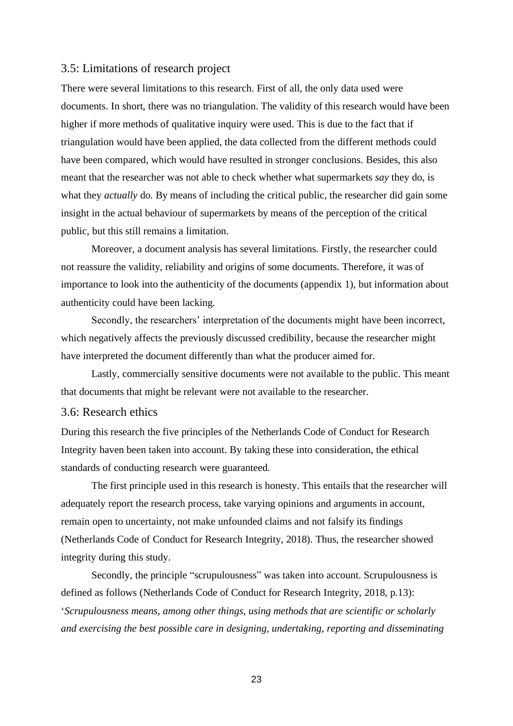# <span id="page-22-0"></span>3.5: Limitations of research project

There were several limitations to this research. First of all, the only data used were documents. In short, there was no triangulation. The validity of this research would have been higher if more methods of qualitative inquiry were used. This is due to the fact that if triangulation would have been applied, the data collected from the different methods could have been compared, which would have resulted in stronger conclusions. Besides, this also meant that the researcher was not able to check whether what supermarkets *say* they do, is what they *actually* do. By means of including the critical public, the researcher did gain some insight in the actual behaviour of supermarkets by means of the perception of the critical public, but this still remains a limitation.

Moreover, a document analysis has several limitations. Firstly, the researcher could not reassure the validity, reliability and origins of some documents. Therefore, it was of importance to look into the authenticity of the documents (appendix 1), but information about authenticity could have been lacking.

Secondly, the researchers' interpretation of the documents might have been incorrect, which negatively affects the previously discussed credibility, because the researcher might have interpreted the document differently than what the producer aimed for.

Lastly, commercially sensitive documents were not available to the public. This meant that documents that might be relevant were not available to the researcher.

# <span id="page-22-1"></span>3.6: Research ethics

During this research the five principles of the Netherlands Code of Conduct for Research Integrity haven been taken into account. By taking these into consideration, the ethical standards of conducting research were guaranteed.

The first principle used in this research is honesty. This entails that the researcher will adequately report the research process, take varying opinions and arguments in account, remain open to uncertainty, not make unfounded claims and not falsify its findings (Netherlands Code of Conduct for Research Integrity, 2018). Thus, the researcher showed integrity during this study.

Secondly, the principle "scrupulousness" was taken into account. Scrupulousness is defined as follows (Netherlands Code of Conduct for Research Integrity, 2018, p.13): '*Scrupulousness means, among other things, using methods that are scientific or scholarly and exercising the best possible care in designing, undertaking, reporting and disseminating*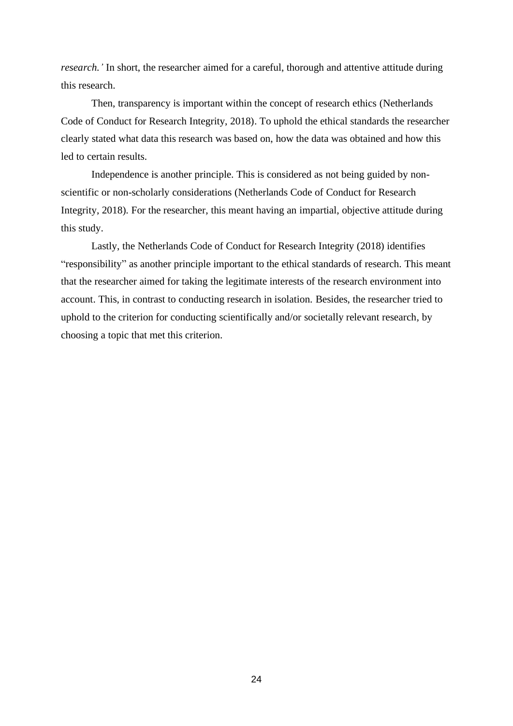*research.'* In short, the researcher aimed for a careful, thorough and attentive attitude during this research.

Then, transparency is important within the concept of research ethics (Netherlands Code of Conduct for Research Integrity, 2018). To uphold the ethical standards the researcher clearly stated what data this research was based on, how the data was obtained and how this led to certain results.

Independence is another principle. This is considered as not being guided by nonscientific or non-scholarly considerations (Netherlands Code of Conduct for Research Integrity, 2018). For the researcher, this meant having an impartial, objective attitude during this study.

Lastly, the Netherlands Code of Conduct for Research Integrity (2018) identifies "responsibility" as another principle important to the ethical standards of research. This meant that the researcher aimed for taking the legitimate interests of the research environment into account. This, in contrast to conducting research in isolation. Besides, the researcher tried to uphold to the criterion for conducting scientifically and/or societally relevant research, by choosing a topic that met this criterion.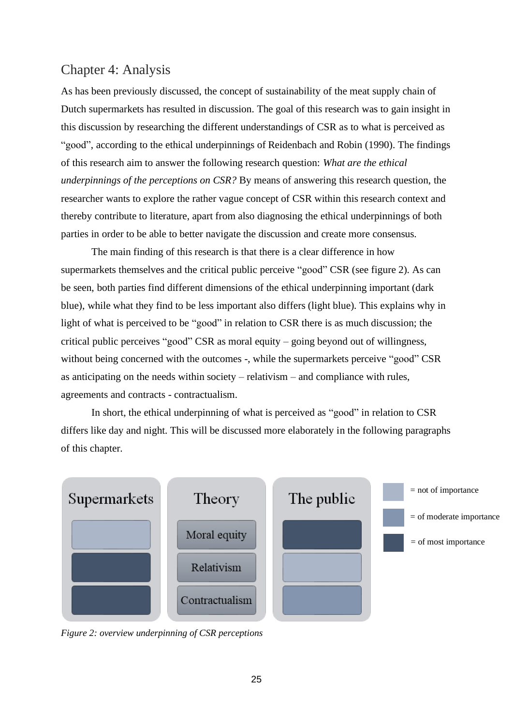# <span id="page-24-0"></span>Chapter 4: Analysis

As has been previously discussed, the concept of sustainability of the meat supply chain of Dutch supermarkets has resulted in discussion. The goal of this research was to gain insight in this discussion by researching the different understandings of CSR as to what is perceived as "good", according to the ethical underpinnings of Reidenbach and Robin (1990). The findings of this research aim to answer the following research question: *What are the ethical underpinnings of the perceptions on CSR?* By means of answering this research question, the researcher wants to explore the rather vague concept of CSR within this research context and thereby contribute to literature, apart from also diagnosing the ethical underpinnings of both parties in order to be able to better navigate the discussion and create more consensus.

The main finding of this research is that there is a clear difference in how supermarkets themselves and the critical public perceive "good" CSR (see figure 2). As can be seen, both parties find different dimensions of the ethical underpinning important (dark blue), while what they find to be less important also differs (light blue). This explains why in light of what is perceived to be "good" in relation to CSR there is as much discussion; the critical public perceives "good" CSR as moral equity – going beyond out of willingness, without being concerned with the outcomes -, while the supermarkets perceive "good" CSR as anticipating on the needs within society – relativism – and compliance with rules, agreements and contracts - contractualism.

In short, the ethical underpinning of what is perceived as "good" in relation to CSR differs like day and night. This will be discussed more elaborately in the following paragraphs of this chapter.



*Figure 2: overview underpinning of CSR perceptions*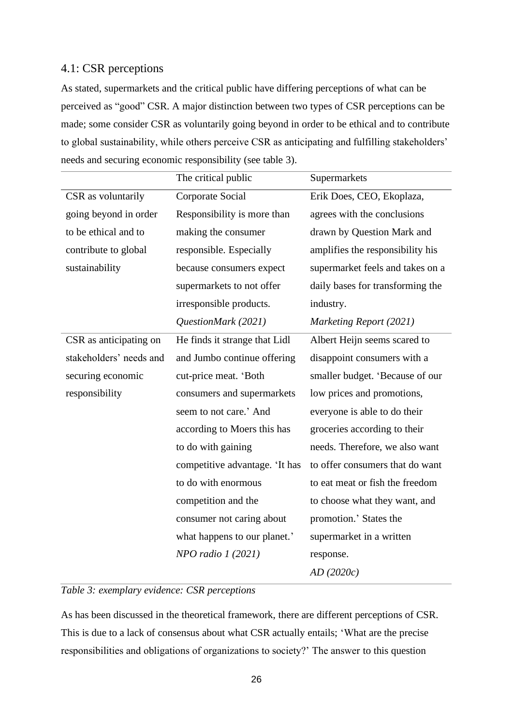# <span id="page-25-0"></span>4.1: CSR perceptions

As stated, supermarkets and the critical public have differing perceptions of what can be perceived as "good" CSR. A major distinction between two types of CSR perceptions can be made; some consider CSR as voluntarily going beyond in order to be ethical and to contribute to global sustainability, while others perceive CSR as anticipating and fulfilling stakeholders' needs and securing economic responsibility (see table 3).

|                         | The critical public            | Supermarkets                     |
|-------------------------|--------------------------------|----------------------------------|
| CSR as voluntarily      | Corporate Social               | Erik Does, CEO, Ekoplaza,        |
| going beyond in order   | Responsibility is more than    | agrees with the conclusions      |
| to be ethical and to    | making the consumer            | drawn by Question Mark and       |
| contribute to global    | responsible. Especially        | amplifies the responsibility his |
| sustainability          | because consumers expect       | supermarket feels and takes on a |
|                         | supermarkets to not offer      | daily bases for transforming the |
|                         | irresponsible products.        | industry.                        |
|                         | QuestionMark (2021)            | Marketing Report (2021)          |
| CSR as anticipating on  | He finds it strange that Lidl  | Albert Heijn seems scared to     |
| stakeholders' needs and | and Jumbo continue offering    | disappoint consumers with a      |
| securing economic       | cut-price meat. 'Both          | smaller budget. 'Because of our  |
| responsibility          | consumers and supermarkets     | low prices and promotions,       |
|                         | seem to not care.' And         | everyone is able to do their     |
|                         | according to Moers this has    | groceries according to their     |
|                         | to do with gaining             | needs. Therefore, we also want   |
|                         | competitive advantage. 'It has | to offer consumers that do want  |
|                         | to do with enormous            | to eat meat or fish the freedom  |
|                         | competition and the            | to choose what they want, and    |
|                         | consumer not caring about      | promotion.' States the           |
|                         | what happens to our planet.'   | supermarket in a written         |
|                         | $NPO$ radio 1 (2021)           | response.                        |
|                         |                                | AD(2020c)                        |

# *Table 3: exemplary evidence: CSR perceptions*

As has been discussed in the theoretical framework, there are different perceptions of CSR. This is due to a lack of consensus about what CSR actually entails; 'What are the precise responsibilities and obligations of organizations to society?' The answer to this question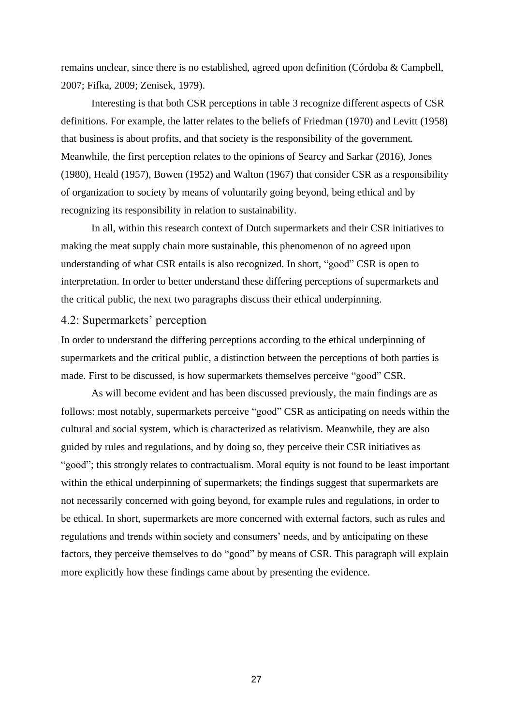remains unclear, since there is no established, agreed upon definition (Córdoba & Campbell, 2007; Fifka, 2009; Zenisek, 1979).

Interesting is that both CSR perceptions in table 3 recognize different aspects of CSR definitions. For example, the latter relates to the beliefs of Friedman (1970) and Levitt (1958) that business is about profits, and that society is the responsibility of the government. Meanwhile, the first perception relates to the opinions of Searcy and Sarkar (2016), Jones (1980), Heald (1957), Bowen (1952) and Walton (1967) that consider CSR as a responsibility of organization to society by means of voluntarily going beyond, being ethical and by recognizing its responsibility in relation to sustainability.

In all, within this research context of Dutch supermarkets and their CSR initiatives to making the meat supply chain more sustainable, this phenomenon of no agreed upon understanding of what CSR entails is also recognized. In short, "good" CSR is open to interpretation. In order to better understand these differing perceptions of supermarkets and the critical public, the next two paragraphs discuss their ethical underpinning.

# <span id="page-26-0"></span>4.2: Supermarkets' perception

In order to understand the differing perceptions according to the ethical underpinning of supermarkets and the critical public, a distinction between the perceptions of both parties is made. First to be discussed, is how supermarkets themselves perceive "good" CSR.

As will become evident and has been discussed previously, the main findings are as follows: most notably, supermarkets perceive "good" CSR as anticipating on needs within the cultural and social system, which is characterized as relativism. Meanwhile, they are also guided by rules and regulations, and by doing so, they perceive their CSR initiatives as "good"; this strongly relates to contractualism. Moral equity is not found to be least important within the ethical underpinning of supermarkets; the findings suggest that supermarkets are not necessarily concerned with going beyond, for example rules and regulations, in order to be ethical. In short, supermarkets are more concerned with external factors, such as rules and regulations and trends within society and consumers' needs, and by anticipating on these factors, they perceive themselves to do "good" by means of CSR. This paragraph will explain more explicitly how these findings came about by presenting the evidence.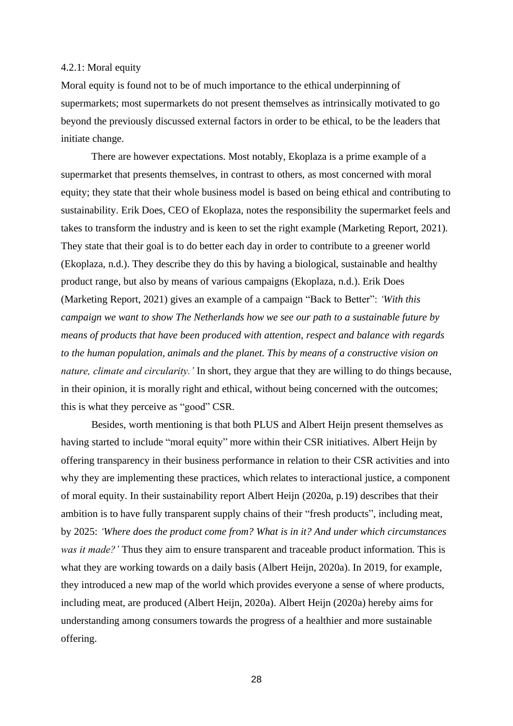#### <span id="page-27-0"></span>4.2.1: Moral equity

Moral equity is found not to be of much importance to the ethical underpinning of supermarkets; most supermarkets do not present themselves as intrinsically motivated to go beyond the previously discussed external factors in order to be ethical, to be the leaders that initiate change.

There are however expectations. Most notably, Ekoplaza is a prime example of a supermarket that presents themselves, in contrast to others, as most concerned with moral equity; they state that their whole business model is based on being ethical and contributing to sustainability. Erik Does, CEO of Ekoplaza, notes the responsibility the supermarket feels and takes to transform the industry and is keen to set the right example (Marketing Report, 2021). They state that their goal is to do better each day in order to contribute to a greener world (Ekoplaza, n.d.). They describe they do this by having a biological, sustainable and healthy product range, but also by means of various campaigns (Ekoplaza, n.d.). Erik Does (Marketing Report, 2021) gives an example of a campaign "Back to Better": *'With this campaign we want to show The Netherlands how we see our path to a sustainable future by means of products that have been produced with attention, respect and balance with regards to the human population, animals and the planet. This by means of a constructive vision on nature, climate and circularity.'* In short, they argue that they are willing to do things because, in their opinion, it is morally right and ethical, without being concerned with the outcomes; this is what they perceive as "good" CSR.

Besides, worth mentioning is that both PLUS and Albert Heijn present themselves as having started to include "moral equity" more within their CSR initiatives. Albert Heijn by offering transparency in their business performance in relation to their CSR activities and into why they are implementing these practices, which relates to interactional justice, a component of moral equity. In their sustainability report Albert Heijn (2020a, p.19) describes that their ambition is to have fully transparent supply chains of their "fresh products", including meat, by 2025: *'Where does the product come from? What is in it? And under which circumstances was it made?'* Thus they aim to ensure transparent and traceable product information. This is what they are working towards on a daily basis (Albert Heijn, 2020a). In 2019, for example, they introduced a new map of the world which provides everyone a sense of where products, including meat, are produced (Albert Heijn, 2020a). Albert Heijn (2020a) hereby aims for understanding among consumers towards the progress of a healthier and more sustainable offering.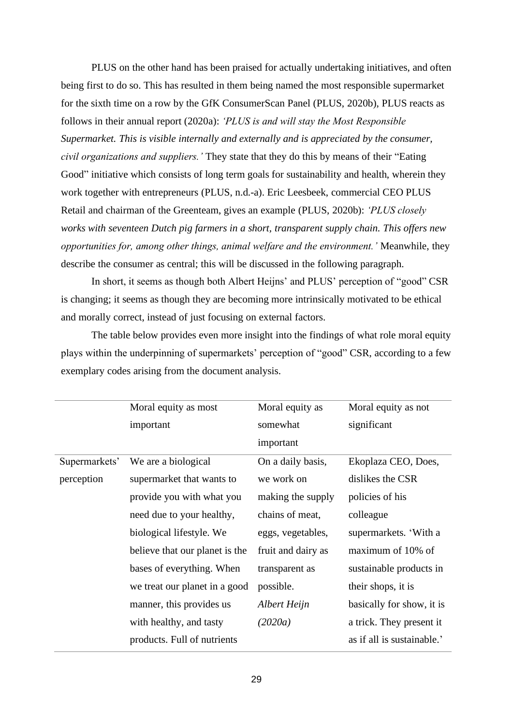PLUS on the other hand has been praised for actually undertaking initiatives, and often being first to do so. This has resulted in them being named the most responsible supermarket for the sixth time on a row by the GfK ConsumerScan Panel (PLUS, 2020b), PLUS reacts as follows in their annual report (2020a): *'PLUS is and will stay the Most Responsible Supermarket. This is visible internally and externally and is appreciated by the consumer, civil organizations and suppliers.'* They state that they do this by means of their "Eating Good" initiative which consists of long term goals for sustainability and health, wherein they work together with entrepreneurs (PLUS, n.d.-a). Eric Leesbeek, commercial CEO PLUS Retail and chairman of the Greenteam, gives an example (PLUS, 2020b): *'PLUS closely works with seventeen Dutch pig farmers in a short, transparent supply chain. This offers new opportunities for, among other things, animal welfare and the environment.'* Meanwhile, they describe the consumer as central; this will be discussed in the following paragraph.

In short, it seems as though both Albert Heijns' and PLUS' perception of "good" CSR is changing; it seems as though they are becoming more intrinsically motivated to be ethical and morally correct, instead of just focusing on external factors.

The table below provides even more insight into the findings of what role moral equity plays within the underpinning of supermarkets' perception of "good" CSR, according to a few exemplary codes arising from the document analysis.

|               | Moral equity as most           | Moral equity as    | Moral equity as not        |
|---------------|--------------------------------|--------------------|----------------------------|
|               | important                      | somewhat           | significant                |
|               |                                | important          |                            |
| Supermarkets' | We are a biological            | On a daily basis,  | Ekoplaza CEO, Does,        |
| perception    | supermarket that wants to      | we work on         | dislikes the CSR           |
|               | provide you with what you      | making the supply  | policies of his            |
|               | need due to your healthy,      | chains of meat,    | colleague                  |
|               | biological lifestyle. We       | eggs, vegetables,  | supermarkets. 'With a      |
|               | believe that our planet is the | fruit and dairy as | maximum of 10% of          |
|               | bases of everything. When      | transparent as     | sustainable products in    |
|               | we treat our planet in a good  | possible.          | their shops, it is         |
|               | manner, this provides us       | Albert Heijn       | basically for show, it is  |
|               | with healthy, and tasty        | (2020a)            | a trick. They present it   |
|               | products. Full of nutrients    |                    | as if all is sustainable.' |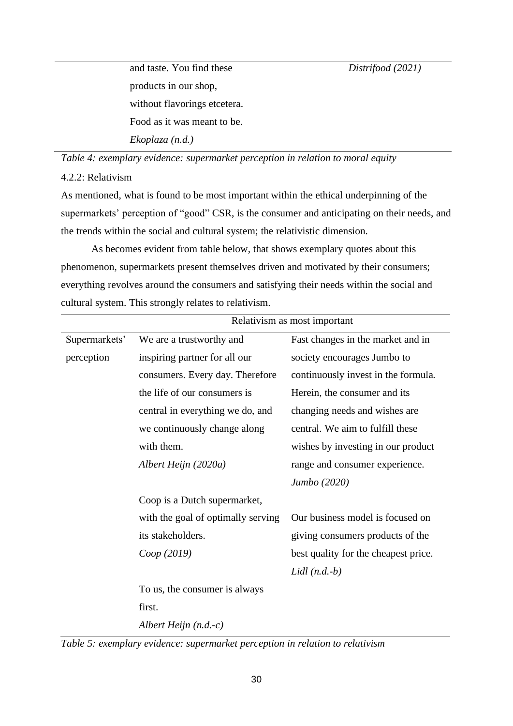*Distrifood (2021)*

and taste. You find these products in our shop, without flavorings etcetera. Food as it was meant to be. *Ekoplaza (n.d.)*

*Table 4: exemplary evidence: supermarket perception in relation to moral equity*

# <span id="page-29-0"></span>4.2.2: Relativism

As mentioned, what is found to be most important within the ethical underpinning of the supermarkets' perception of "good" CSR, is the consumer and anticipating on their needs, and the trends within the social and cultural system; the relativistic dimension.

As becomes evident from table below, that shows exemplary quotes about this phenomenon, supermarkets present themselves driven and motivated by their consumers; everything revolves around the consumers and satisfying their needs within the social and cultural system. This strongly relates to relativism.

|               | Relativism as most important       |                                      |  |
|---------------|------------------------------------|--------------------------------------|--|
| Supermarkets' | We are a trustworthy and           | Fast changes in the market and in    |  |
| perception    | inspiring partner for all our      | society encourages Jumbo to          |  |
|               | consumers. Every day. Therefore    | continuously invest in the formula.  |  |
|               | the life of our consumers is       | Herein, the consumer and its         |  |
|               | central in everything we do, and   | changing needs and wishes are        |  |
|               | we continuously change along       | central. We aim to fulfill these     |  |
|               | with them.                         | wishes by investing in our product   |  |
|               | Albert Heijn (2020a)               | range and consumer experience.       |  |
|               |                                    | Jumbo (2020)                         |  |
|               | Coop is a Dutch supermarket,       |                                      |  |
|               | with the goal of optimally serving | Our business model is focused on     |  |
|               | its stakeholders.                  | giving consumers products of the     |  |
|               | Coop(2019)                         | best quality for the cheapest price. |  |
|               |                                    | Lidl $(n.d.-b)$                      |  |
|               | To us, the consumer is always      |                                      |  |
|               | first.                             |                                      |  |
|               | Albert Heijn $(n.d.-c)$            |                                      |  |

*Table 5: exemplary evidence: supermarket perception in relation to relativism*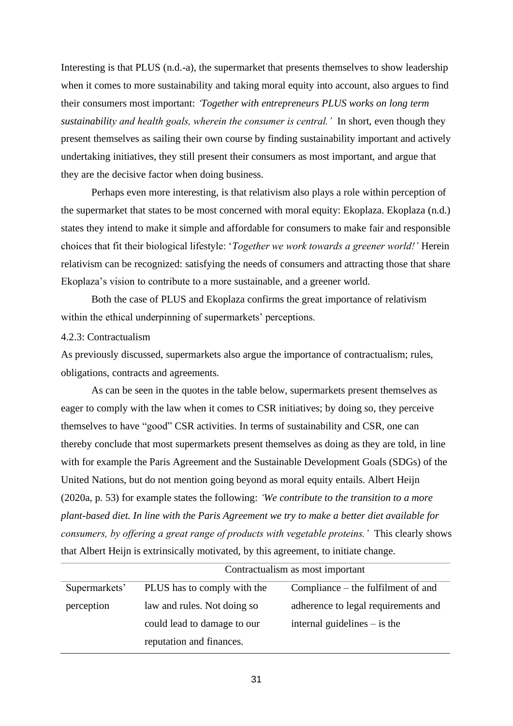Interesting is that PLUS (n.d.-a), the supermarket that presents themselves to show leadership when it comes to more sustainability and taking moral equity into account, also argues to find their consumers most important: *'Together with entrepreneurs PLUS works on long term sustainability and health goals, wherein the consumer is central.'* In short, even though they present themselves as sailing their own course by finding sustainability important and actively undertaking initiatives, they still present their consumers as most important, and argue that they are the decisive factor when doing business.

Perhaps even more interesting, is that relativism also plays a role within perception of the supermarket that states to be most concerned with moral equity: Ekoplaza. Ekoplaza (n.d.) states they intend to make it simple and affordable for consumers to make fair and responsible choices that fit their biological lifestyle: '*Together we work towards a greener world!'* Herein relativism can be recognized: satisfying the needs of consumers and attracting those that share Ekoplaza's vision to contribute to a more sustainable, and a greener world.

Both the case of PLUS and Ekoplaza confirms the great importance of relativism within the ethical underpinning of supermarkets' perceptions.

#### <span id="page-30-0"></span>4.2.3: Contractualism

As previously discussed, supermarkets also argue the importance of contractualism; rules, obligations, contracts and agreements.

As can be seen in the quotes in the table below, supermarkets present themselves as eager to comply with the law when it comes to CSR initiatives; by doing so, they perceive themselves to have "good" CSR activities. In terms of sustainability and CSR, one can thereby conclude that most supermarkets present themselves as doing as they are told, in line with for example the Paris Agreement and the Sustainable Development Goals (SDGs) of the United Nations, but do not mention going beyond as moral equity entails. Albert Heijn (2020a, p. 53) for example states the following: *'We contribute to the transition to a more plant-based diet. In line with the Paris Agreement we try to make a better diet available for consumers, by offering a great range of products with vegetable proteins.'* This clearly shows that Albert Heijn is extrinsically motivated, by this agreement, to initiate change.

|               | Contractualism as most important |                                     |  |
|---------------|----------------------------------|-------------------------------------|--|
| Supermarkets' | PLUS has to comply with the      | Compliance – the fulfilment of and  |  |
| perception    | law and rules. Not doing so      | adherence to legal requirements and |  |
|               | could lead to damage to our      | internal guidelines $-$ is the      |  |
|               | reputation and finances.         |                                     |  |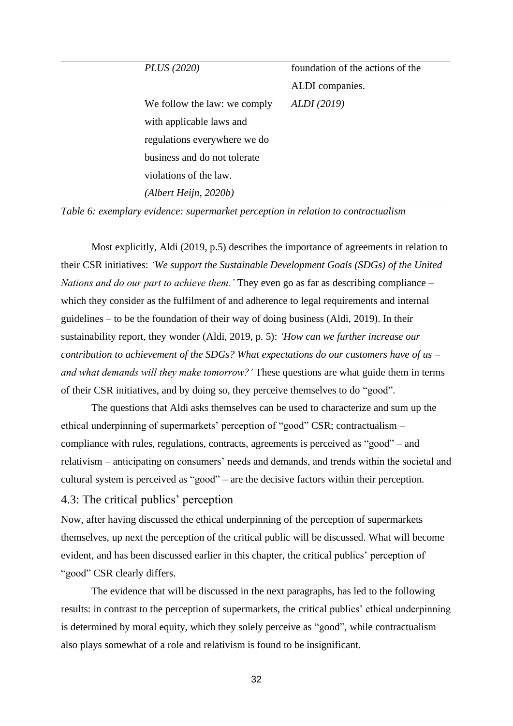| <i>PLUS</i> (2020)           | foundation of the actions of the |
|------------------------------|----------------------------------|
|                              | ALDI companies.                  |
| We follow the law: we comply | ALDI (2019)                      |
| with applicable laws and     |                                  |
| regulations everywhere we do |                                  |
| business and do not tolerate |                                  |
| violations of the law.       |                                  |
| (Albert Heijn, 2020b)        |                                  |
|                              |                                  |

*Table 6: exemplary evidence: supermarket perception in relation to contractualism*

Most explicitly, Aldi (2019, p.5) describes the importance of agreements in relation to their CSR initiatives: *'We support the Sustainable Development Goals (SDGs) of the United Nations and do our part to achieve them.'* They even go as far as describing compliance – which they consider as the fulfilment of and adherence to legal requirements and internal guidelines – to be the foundation of their way of doing business (Aldi, 2019). In their sustainability report, they wonder (Aldi, 2019, p. 5): *'How can we further increase our contribution to achievement of the SDGs? What expectations do our customers have of us – and what demands will they make tomorrow?'* These questions are what guide them in terms of their CSR initiatives, and by doing so, they perceive themselves to do "good".

The questions that Aldi asks themselves can be used to characterize and sum up the ethical underpinning of supermarkets' perception of "good" CSR; contractualism – compliance with rules, regulations, contracts, agreements is perceived as "good" – and relativism – anticipating on consumers' needs and demands, and trends within the societal and cultural system is perceived as "good" – are the decisive factors within their perception.

# <span id="page-31-0"></span>4.3: The critical publics' perception

Now, after having discussed the ethical underpinning of the perception of supermarkets themselves, up next the perception of the critical public will be discussed. What will become evident, and has been discussed earlier in this chapter, the critical publics' perception of "good" CSR clearly differs.

The evidence that will be discussed in the next paragraphs, has led to the following results: in contrast to the perception of supermarkets, the critical publics' ethical underpinning is determined by moral equity, which they solely perceive as "good", while contractualism also plays somewhat of a role and relativism is found to be insignificant.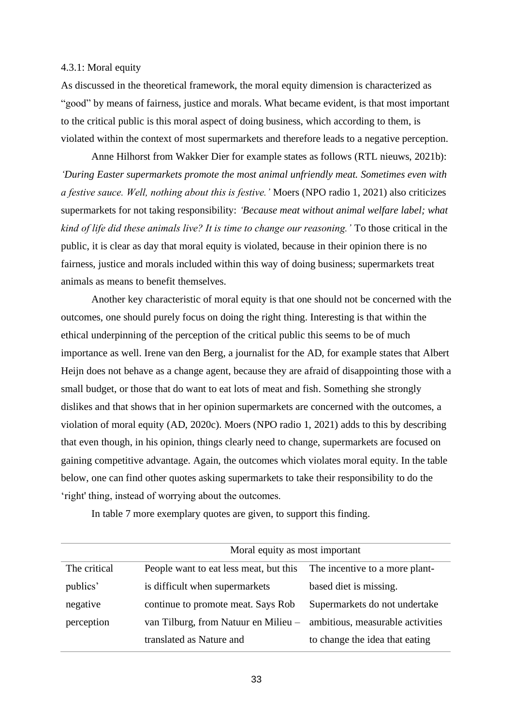#### <span id="page-32-0"></span>4.3.1: Moral equity

As discussed in the theoretical framework, the moral equity dimension is characterized as "good" by means of fairness, justice and morals. What became evident, is that most important to the critical public is this moral aspect of doing business, which according to them, is violated within the context of most supermarkets and therefore leads to a negative perception.

Anne Hilhorst from Wakker Dier for example states as follows (RTL nieuws, 2021b): *'During Easter supermarkets promote the most animal unfriendly meat. Sometimes even with a festive sauce. Well, nothing about this is festive.'* Moers (NPO radio 1, 2021) also criticizes supermarkets for not taking responsibility: *'Because meat without animal welfare label; what kind of life did these animals live? It is time to change our reasoning.'* To those critical in the public, it is clear as day that moral equity is violated, because in their opinion there is no fairness, justice and morals included within this way of doing business; supermarkets treat animals as means to benefit themselves.

Another key characteristic of moral equity is that one should not be concerned with the outcomes, one should purely focus on doing the right thing. Interesting is that within the ethical underpinning of the perception of the critical public this seems to be of much importance as well. Irene van den Berg, a journalist for the AD, for example states that Albert Heijn does not behave as a change agent, because they are afraid of disappointing those with a small budget, or those that do want to eat lots of meat and fish. Something she strongly dislikes and that shows that in her opinion supermarkets are concerned with the outcomes, a violation of moral equity (AD, 2020c). Moers (NPO radio 1, 2021) adds to this by describing that even though, in his opinion, things clearly need to change, supermarkets are focused on gaining competitive advantage. Again, the outcomes which violates moral equity. In the table below, one can find other quotes asking supermarkets to take their responsibility to do the 'right' thing, instead of worrying about the outcomes.

|              | Moral equity as most important         |                                  |  |
|--------------|----------------------------------------|----------------------------------|--|
| The critical | People want to eat less meat, but this | The incentive to a more plant-   |  |
| publics'     | is difficult when supermarkets         | based diet is missing.           |  |
| negative     | continue to promote meat. Says Rob     | Supermarkets do not undertake    |  |
| perception   | van Tilburg, from Natuur en Milieu –   | ambitious, measurable activities |  |
|              | translated as Nature and               | to change the idea that eating   |  |

In table 7 more exemplary quotes are given, to support this finding.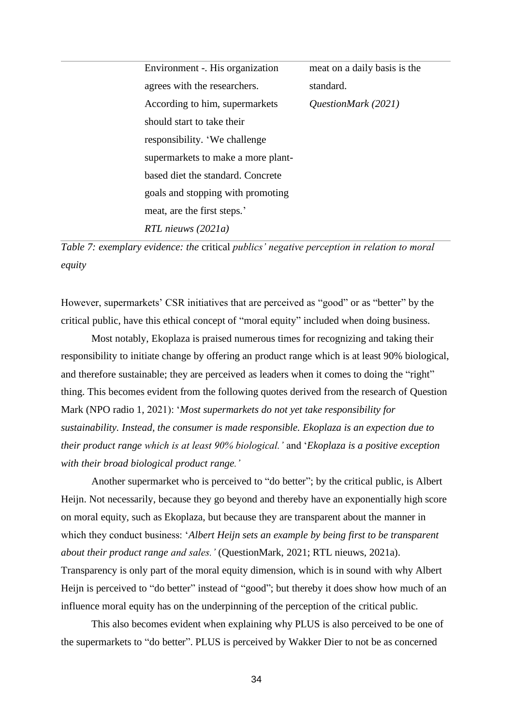| Environment -. His organization    | meat on a daily basis is the |
|------------------------------------|------------------------------|
| agrees with the researchers.       | standard.                    |
| According to him, supermarkets     | QuestionMark (2021)          |
| should start to take their         |                              |
| responsibility. 'We challenge      |                              |
| supermarkets to make a more plant- |                              |
| based diet the standard. Concrete  |                              |
| goals and stopping with promoting  |                              |
| meat, are the first steps.'        |                              |
| RTL nieuws (2021a)                 |                              |

*Table 7: exemplary evidence: the* critical *publics' negative perception in relation to moral equity*

However, supermarkets' CSR initiatives that are perceived as "good" or as "better" by the critical public, have this ethical concept of "moral equity" included when doing business.

Most notably, Ekoplaza is praised numerous times for recognizing and taking their responsibility to initiate change by offering an product range which is at least 90% biological, and therefore sustainable; they are perceived as leaders when it comes to doing the "right" thing. This becomes evident from the following quotes derived from the research of Question Mark (NPO radio 1, 2021): '*Most supermarkets do not yet take responsibility for sustainability. Instead, the consumer is made responsible. Ekoplaza is an expection due to their product range which is at least 90% biological.'* and '*Ekoplaza is a positive exception with their broad biological product range.'* 

Another supermarket who is perceived to "do better"; by the critical public, is Albert Heijn. Not necessarily, because they go beyond and thereby have an exponentially high score on moral equity, such as Ekoplaza, but because they are transparent about the manner in which they conduct business: '*Albert Heijn sets an example by being first to be transparent about their product range and sales.'* (QuestionMark, 2021; RTL nieuws, 2021a). Transparency is only part of the moral equity dimension, which is in sound with why Albert Heijn is perceived to "do better" instead of "good"; but thereby it does show how much of an

This also becomes evident when explaining why PLUS is also perceived to be one of the supermarkets to "do better". PLUS is perceived by Wakker Dier to not be as concerned

influence moral equity has on the underpinning of the perception of the critical public.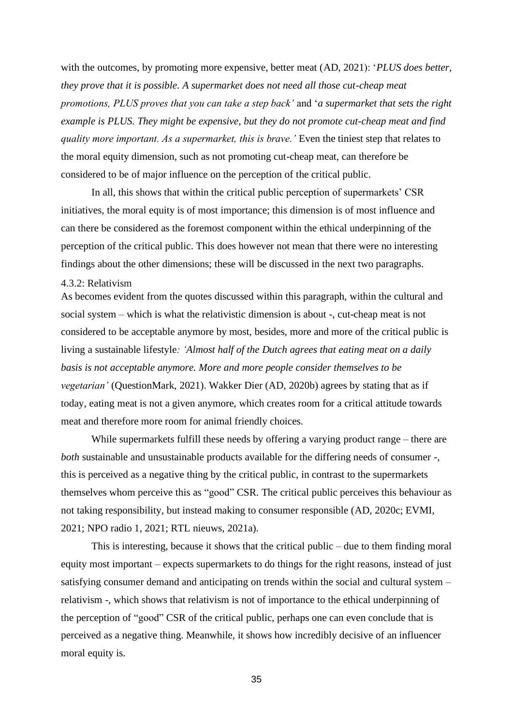with the outcomes, by promoting more expensive, better meat (AD, 2021): '*PLUS does better, they prove that it is possible. A supermarket does not need all those cut-cheap meat promotions, PLUS proves that you can take a step back'* and '*a supermarket that sets the right example is PLUS. They might be expensive, but they do not promote cut-cheap meat and find quality more important. As a supermarket, this is brave.'* Even the tiniest step that relates to the moral equity dimension, such as not promoting cut-cheap meat, can therefore be considered to be of major influence on the perception of the critical public.

In all, this shows that within the critical public perception of supermarkets' CSR initiatives, the moral equity is of most importance; this dimension is of most influence and can there be considered as the foremost component within the ethical underpinning of the perception of the critical public. This does however not mean that there were no interesting findings about the other dimensions; these will be discussed in the next two paragraphs.

#### <span id="page-34-0"></span>4.3.2: Relativism

As becomes evident from the quotes discussed within this paragraph, within the cultural and social system – which is what the relativistic dimension is about -, cut-cheap meat is not considered to be acceptable anymore by most, besides, more and more of the critical public is living a sustainable lifestyle*: 'Almost half of the Dutch agrees that eating meat on a daily basis is not acceptable anymore. More and more people consider themselves to be vegetarian'* (QuestionMark, 2021). Wakker Dier (AD, 2020b) agrees by stating that as if today, eating meat is not a given anymore, which creates room for a critical attitude towards meat and therefore more room for animal friendly choices.

While supermarkets fulfill these needs by offering a varying product range – there are *both* sustainable and unsustainable products available for the differing needs of consumer -, this is perceived as a negative thing by the critical public, in contrast to the supermarkets themselves whom perceive this as "good" CSR. The critical public perceives this behaviour as not taking responsibility, but instead making to consumer responsible (AD, 2020c; EVMI, 2021; NPO radio 1, 2021; RTL nieuws, 2021a).

This is interesting, because it shows that the critical public – due to them finding moral equity most important – expects supermarkets to do things for the right reasons, instead of just satisfying consumer demand and anticipating on trends within the social and cultural system – relativism -, which shows that relativism is not of importance to the ethical underpinning of the perception of "good" CSR of the critical public, perhaps one can even conclude that is perceived as a negative thing. Meanwhile, it shows how incredibly decisive of an influencer moral equity is.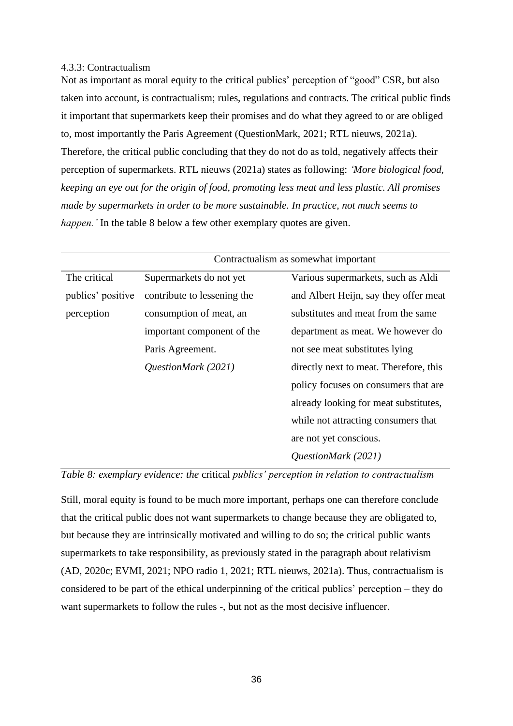### <span id="page-35-0"></span>4.3.3: Contractualism

Not as important as moral equity to the critical publics' perception of "good" CSR, but also taken into account, is contractualism; rules, regulations and contracts. The critical public finds it important that supermarkets keep their promises and do what they agreed to or are obliged to, most importantly the Paris Agreement (QuestionMark, 2021; RTL nieuws, 2021a). Therefore, the critical public concluding that they do not do as told, negatively affects their perception of supermarkets. RTL nieuws (2021a) states as following: *'More biological food, keeping an eye out for the origin of food, promoting less meat and less plastic. All promises made by supermarkets in order to be more sustainable. In practice, not much seems to happen.'* In the table 8 below a few other exemplary quotes are given.

|                   | Contractualism as somewhat important |                                        |
|-------------------|--------------------------------------|----------------------------------------|
| The critical      | Supermarkets do not yet              | Various supermarkets, such as Aldi     |
| publics' positive | contribute to lessening the          | and Albert Heijn, say they offer meat  |
| perception        | consumption of meat, an              | substitutes and meat from the same     |
|                   | important component of the           | department as meat. We however do      |
|                   | Paris Agreement.                     | not see meat substitutes lying         |
|                   | QuestionMark (2021)                  | directly next to meat. Therefore, this |
|                   |                                      | policy focuses on consumers that are   |
|                   |                                      | already looking for meat substitutes,  |
|                   |                                      | while not attracting consumers that    |
|                   |                                      | are not yet conscious.                 |
|                   |                                      | QuestionMark (2021)                    |



Still, moral equity is found to be much more important, perhaps one can therefore conclude that the critical public does not want supermarkets to change because they are obligated to, but because they are intrinsically motivated and willing to do so; the critical public wants supermarkets to take responsibility, as previously stated in the paragraph about relativism (AD, 2020c; EVMI, 2021; NPO radio 1, 2021; RTL nieuws, 2021a). Thus, contractualism is considered to be part of the ethical underpinning of the critical publics' perception – they do want supermarkets to follow the rules -, but not as the most decisive influencer.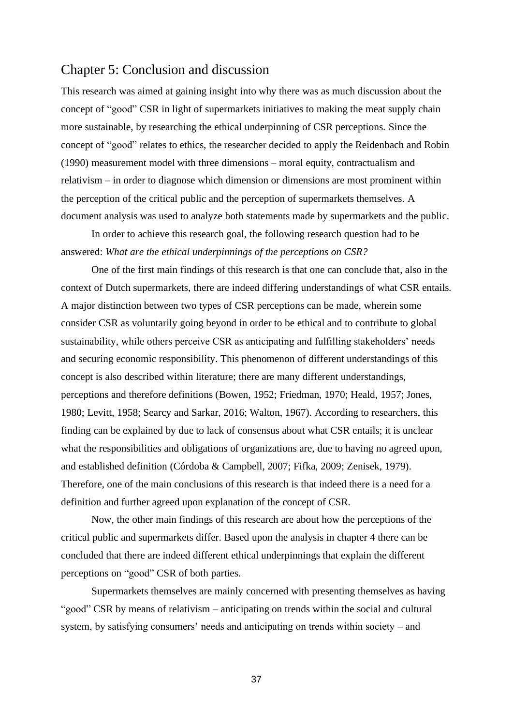# <span id="page-36-0"></span>Chapter 5: Conclusion and discussion

This research was aimed at gaining insight into why there was as much discussion about the concept of "good" CSR in light of supermarkets initiatives to making the meat supply chain more sustainable, by researching the ethical underpinning of CSR perceptions. Since the concept of "good" relates to ethics, the researcher decided to apply the Reidenbach and Robin (1990) measurement model with three dimensions – moral equity, contractualism and relativism – in order to diagnose which dimension or dimensions are most prominent within the perception of the critical public and the perception of supermarkets themselves. A document analysis was used to analyze both statements made by supermarkets and the public.

In order to achieve this research goal, the following research question had to be answered: *What are the ethical underpinnings of the perceptions on CSR?*

One of the first main findings of this research is that one can conclude that, also in the context of Dutch supermarkets, there are indeed differing understandings of what CSR entails. A major distinction between two types of CSR perceptions can be made, wherein some consider CSR as voluntarily going beyond in order to be ethical and to contribute to global sustainability, while others perceive CSR as anticipating and fulfilling stakeholders' needs and securing economic responsibility. This phenomenon of different understandings of this concept is also described within literature; there are many different understandings, perceptions and therefore definitions (Bowen, 1952; Friedman, 1970; Heald, 1957; Jones, 1980; Levitt, 1958; Searcy and Sarkar, 2016; Walton, 1967). According to researchers, this finding can be explained by due to lack of consensus about what CSR entails; it is unclear what the responsibilities and obligations of organizations are, due to having no agreed upon, and established definition (Córdoba & Campbell, 2007; Fifka, 2009; Zenisek, 1979). Therefore, one of the main conclusions of this research is that indeed there is a need for a definition and further agreed upon explanation of the concept of CSR.

Now, the other main findings of this research are about how the perceptions of the critical public and supermarkets differ. Based upon the analysis in chapter 4 there can be concluded that there are indeed different ethical underpinnings that explain the different perceptions on "good" CSR of both parties.

Supermarkets themselves are mainly concerned with presenting themselves as having "good" CSR by means of relativism – anticipating on trends within the social and cultural system, by satisfying consumers' needs and anticipating on trends within society – and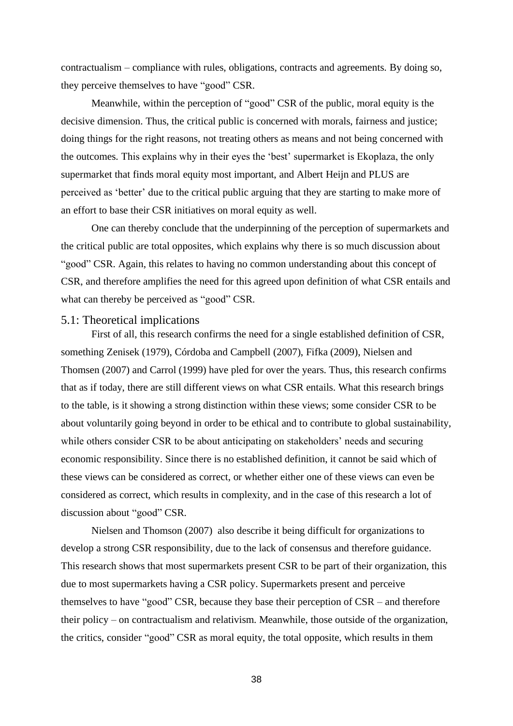contractualism – compliance with rules, obligations, contracts and agreements. By doing so, they perceive themselves to have "good" CSR.

Meanwhile, within the perception of "good" CSR of the public, moral equity is the decisive dimension. Thus, the critical public is concerned with morals, fairness and justice; doing things for the right reasons, not treating others as means and not being concerned with the outcomes. This explains why in their eyes the 'best' supermarket is Ekoplaza, the only supermarket that finds moral equity most important, and Albert Heijn and PLUS are perceived as 'better' due to the critical public arguing that they are starting to make more of an effort to base their CSR initiatives on moral equity as well.

One can thereby conclude that the underpinning of the perception of supermarkets and the critical public are total opposites, which explains why there is so much discussion about "good" CSR. Again, this relates to having no common understanding about this concept of CSR, and therefore amplifies the need for this agreed upon definition of what CSR entails and what can thereby be perceived as "good" CSR.

#### <span id="page-37-0"></span>5.1: Theoretical implications

First of all, this research confirms the need for a single established definition of CSR, something Zenisek (1979), Córdoba and Campbell (2007), Fifka (2009), Nielsen and Thomsen (2007) and Carrol (1999) have pled for over the years. Thus, this research confirms that as if today, there are still different views on what CSR entails. What this research brings to the table, is it showing a strong distinction within these views; some consider CSR to be about voluntarily going beyond in order to be ethical and to contribute to global sustainability, while others consider CSR to be about anticipating on stakeholders' needs and securing economic responsibility. Since there is no established definition, it cannot be said which of these views can be considered as correct, or whether either one of these views can even be considered as correct, which results in complexity, and in the case of this research a lot of discussion about "good" CSR.

Nielsen and Thomson (2007) also describe it being difficult for organizations to develop a strong CSR responsibility, due to the lack of consensus and therefore guidance. This research shows that most supermarkets present CSR to be part of their organization, this due to most supermarkets having a CSR policy. Supermarkets present and perceive themselves to have "good" CSR, because they base their perception of CSR – and therefore their policy – on contractualism and relativism. Meanwhile, those outside of the organization, the critics, consider "good" CSR as moral equity, the total opposite, which results in them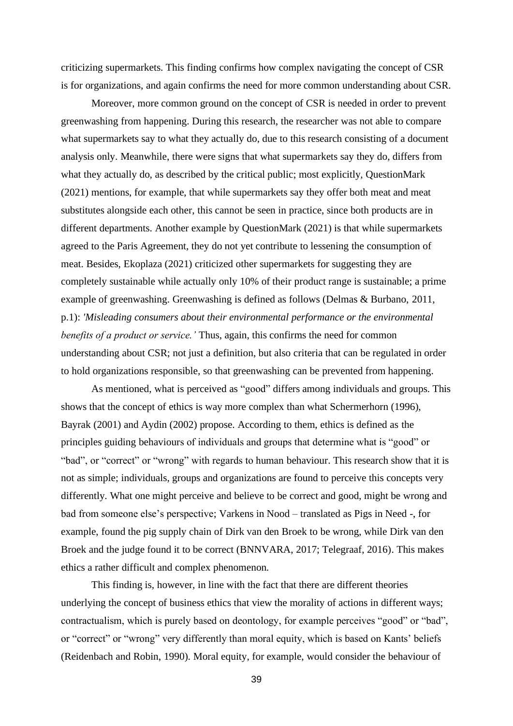criticizing supermarkets. This finding confirms how complex navigating the concept of CSR is for organizations, and again confirms the need for more common understanding about CSR.

Moreover, more common ground on the concept of CSR is needed in order to prevent greenwashing from happening. During this research, the researcher was not able to compare what supermarkets say to what they actually do, due to this research consisting of a document analysis only. Meanwhile, there were signs that what supermarkets say they do, differs from what they actually do, as described by the critical public; most explicitly, QuestionMark (2021) mentions, for example, that while supermarkets say they offer both meat and meat substitutes alongside each other, this cannot be seen in practice, since both products are in different departments. Another example by QuestionMark (2021) is that while supermarkets agreed to the Paris Agreement, they do not yet contribute to lessening the consumption of meat. Besides, Ekoplaza (2021) criticized other supermarkets for suggesting they are completely sustainable while actually only 10% of their product range is sustainable; a prime example of greenwashing. Greenwashing is defined as follows (Delmas & Burbano, 2011, p.1): *'Misleading consumers about their environmental performance or the environmental benefits of a product or service.'* Thus, again, this confirms the need for common understanding about CSR; not just a definition, but also criteria that can be regulated in order to hold organizations responsible, so that greenwashing can be prevented from happening.

As mentioned, what is perceived as "good" differs among individuals and groups. This shows that the concept of ethics is way more complex than what Schermerhorn (1996), Bayrak (2001) and Aydin (2002) propose. According to them, ethics is defined as the principles guiding behaviours of individuals and groups that determine what is "good" or "bad", or "correct" or "wrong" with regards to human behaviour. This research show that it is not as simple; individuals, groups and organizations are found to perceive this concepts very differently. What one might perceive and believe to be correct and good, might be wrong and bad from someone else's perspective; Varkens in Nood – translated as Pigs in Need -, for example, found the pig supply chain of Dirk van den Broek to be wrong, while Dirk van den Broek and the judge found it to be correct (BNNVARA, 2017; Telegraaf, 2016). This makes ethics a rather difficult and complex phenomenon.

This finding is, however, in line with the fact that there are different theories underlying the concept of business ethics that view the morality of actions in different ways; contractualism, which is purely based on deontology, for example perceives "good" or "bad", or "correct" or "wrong" very differently than moral equity, which is based on Kants' beliefs (Reidenbach and Robin, 1990). Moral equity, for example, would consider the behaviour of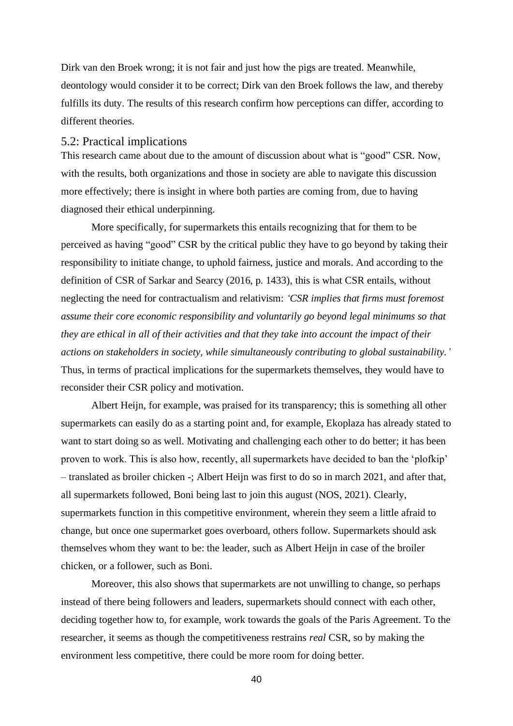Dirk van den Broek wrong; it is not fair and just how the pigs are treated. Meanwhile, deontology would consider it to be correct; Dirk van den Broek follows the law, and thereby fulfills its duty. The results of this research confirm how perceptions can differ, according to different theories.

### <span id="page-39-0"></span>5.2: Practical implications

This research came about due to the amount of discussion about what is "good" CSR. Now, with the results, both organizations and those in society are able to navigate this discussion more effectively; there is insight in where both parties are coming from, due to having diagnosed their ethical underpinning.

More specifically, for supermarkets this entails recognizing that for them to be perceived as having "good" CSR by the critical public they have to go beyond by taking their responsibility to initiate change, to uphold fairness, justice and morals. And according to the definition of CSR of Sarkar and Searcy (2016, p. 1433), this is what CSR entails, without neglecting the need for contractualism and relativism: *'CSR implies that firms must foremost assume their core economic responsibility and voluntarily go beyond legal minimums so that they are ethical in all of their activities and that they take into account the impact of their actions on stakeholders in society, while simultaneously contributing to global sustainability.'* Thus, in terms of practical implications for the supermarkets themselves, they would have to reconsider their CSR policy and motivation.

Albert Heijn, for example, was praised for its transparency; this is something all other supermarkets can easily do as a starting point and, for example, Ekoplaza has already stated to want to start doing so as well. Motivating and challenging each other to do better; it has been proven to work. This is also how, recently, all supermarkets have decided to ban the 'plofkip' – translated as broiler chicken -; Albert Heijn was first to do so in march 2021, and after that, all supermarkets followed, Boni being last to join this august (NOS, 2021). Clearly, supermarkets function in this competitive environment, wherein they seem a little afraid to change, but once one supermarket goes overboard, others follow. Supermarkets should ask themselves whom they want to be: the leader, such as Albert Heijn in case of the broiler chicken, or a follower, such as Boni.

Moreover, this also shows that supermarkets are not unwilling to change, so perhaps instead of there being followers and leaders, supermarkets should connect with each other, deciding together how to, for example, work towards the goals of the Paris Agreement. To the researcher, it seems as though the competitiveness restrains *real* CSR, so by making the environment less competitive, there could be more room for doing better.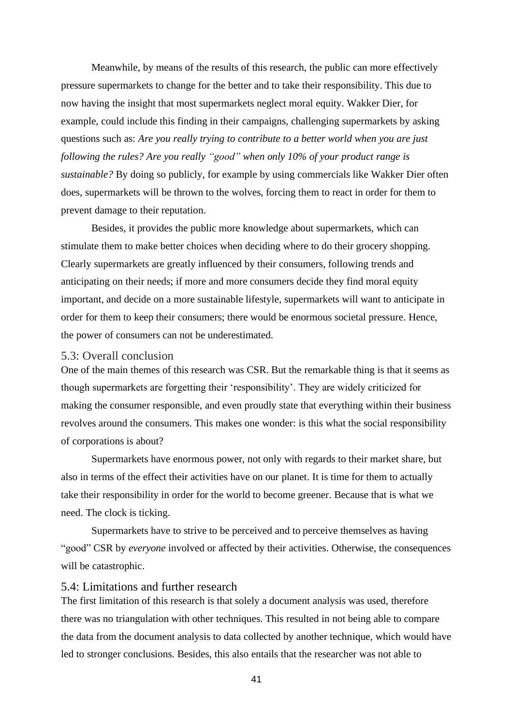Meanwhile, by means of the results of this research, the public can more effectively pressure supermarkets to change for the better and to take their responsibility. This due to now having the insight that most supermarkets neglect moral equity. Wakker Dier, for example, could include this finding in their campaigns, challenging supermarkets by asking questions such as: *Are you really trying to contribute to a better world when you are just following the rules? Are you really "good" when only 10% of your product range is sustainable?* By doing so publicly, for example by using commercials like Wakker Dier often does, supermarkets will be thrown to the wolves, forcing them to react in order for them to prevent damage to their reputation.

Besides, it provides the public more knowledge about supermarkets, which can stimulate them to make better choices when deciding where to do their grocery shopping. Clearly supermarkets are greatly influenced by their consumers, following trends and anticipating on their needs; if more and more consumers decide they find moral equity important, and decide on a more sustainable lifestyle, supermarkets will want to anticipate in order for them to keep their consumers; there would be enormous societal pressure. Hence, the power of consumers can not be underestimated.

#### <span id="page-40-0"></span>5.3: Overall conclusion

One of the main themes of this research was CSR. But the remarkable thing is that it seems as though supermarkets are forgetting their 'responsibility'. They are widely criticized for making the consumer responsible, and even proudly state that everything within their business revolves around the consumers. This makes one wonder: is this what the social responsibility of corporations is about?

Supermarkets have enormous power, not only with regards to their market share, but also in terms of the effect their activities have on our planet. It is time for them to actually take their responsibility in order for the world to become greener. Because that is what we need. The clock is ticking.

Supermarkets have to strive to be perceived and to perceive themselves as having "good" CSR by *everyone* involved or affected by their activities. Otherwise, the consequences will be catastrophic.

## <span id="page-40-1"></span>5.4: Limitations and further research

The first limitation of this research is that solely a document analysis was used, therefore there was no triangulation with other techniques. This resulted in not being able to compare the data from the document analysis to data collected by another technique, which would have led to stronger conclusions. Besides, this also entails that the researcher was not able to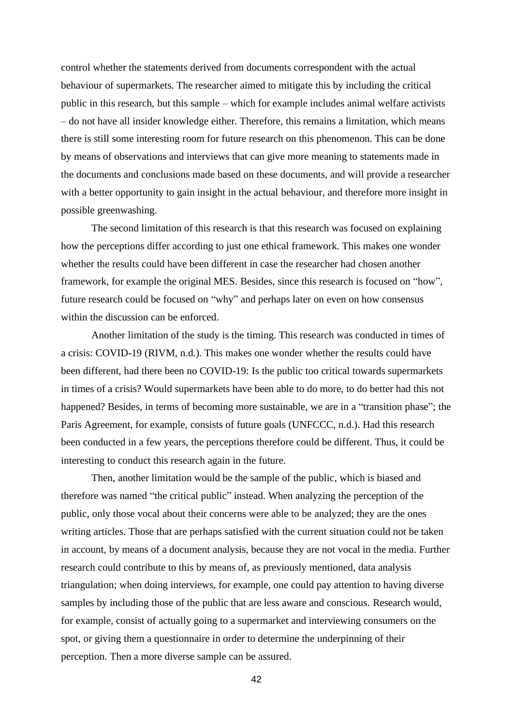control whether the statements derived from documents correspondent with the actual behaviour of supermarkets. The researcher aimed to mitigate this by including the critical public in this research, but this sample – which for example includes animal welfare activists – do not have all insider knowledge either. Therefore, this remains a limitation, which means there is still some interesting room for future research on this phenomenon. This can be done by means of observations and interviews that can give more meaning to statements made in the documents and conclusions made based on these documents, and will provide a researcher with a better opportunity to gain insight in the actual behaviour, and therefore more insight in possible greenwashing.

The second limitation of this research is that this research was focused on explaining how the perceptions differ according to just one ethical framework. This makes one wonder whether the results could have been different in case the researcher had chosen another framework, for example the original MES. Besides, since this research is focused on "how", future research could be focused on "why" and perhaps later on even on how consensus within the discussion can be enforced.

Another limitation of the study is the timing. This research was conducted in times of a crisis: COVID-19 (RIVM, n.d.). This makes one wonder whether the results could have been different, had there been no COVID-19: Is the public too critical towards supermarkets in times of a crisis? Would supermarkets have been able to do more, to do better had this not happened? Besides, in terms of becoming more sustainable, we are in a "transition phase"; the Paris Agreement, for example, consists of future goals (UNFCCC, n.d.). Had this research been conducted in a few years, the perceptions therefore could be different. Thus, it could be interesting to conduct this research again in the future.

Then, another limitation would be the sample of the public, which is biased and therefore was named "the critical public" instead. When analyzing the perception of the public, only those vocal about their concerns were able to be analyzed; they are the ones writing articles. Those that are perhaps satisfied with the current situation could not be taken in account, by means of a document analysis, because they are not vocal in the media. Further research could contribute to this by means of, as previously mentioned, data analysis triangulation; when doing interviews, for example, one could pay attention to having diverse samples by including those of the public that are less aware and conscious. Research would, for example, consist of actually going to a supermarket and interviewing consumers on the spot, or giving them a questionnaire in order to determine the underpinning of their perception. Then a more diverse sample can be assured.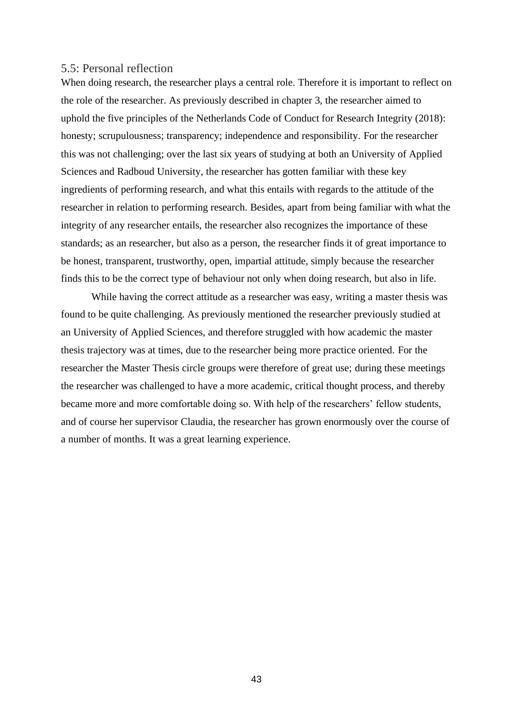# <span id="page-42-0"></span>5.5: Personal reflection

When doing research, the researcher plays a central role. Therefore it is important to reflect on the role of the researcher. As previously described in chapter 3, the researcher aimed to uphold the five principles of the Netherlands Code of Conduct for Research Integrity (2018): honesty; scrupulousness; transparency; independence and responsibility. For the researcher this was not challenging; over the last six years of studying at both an University of Applied Sciences and Radboud University, the researcher has gotten familiar with these key ingredients of performing research, and what this entails with regards to the attitude of the researcher in relation to performing research. Besides, apart from being familiar with what the integrity of any researcher entails, the researcher also recognizes the importance of these standards; as an researcher, but also as a person, the researcher finds it of great importance to be honest, transparent, trustworthy, open, impartial attitude, simply because the researcher finds this to be the correct type of behaviour not only when doing research, but also in life.

While having the correct attitude as a researcher was easy, writing a master thesis was found to be quite challenging. As previously mentioned the researcher previously studied at an University of Applied Sciences, and therefore struggled with how academic the master thesis trajectory was at times, due to the researcher being more practice oriented. For the researcher the Master Thesis circle groups were therefore of great use; during these meetings the researcher was challenged to have a more academic, critical thought process, and thereby became more and more comfortable doing so. With help of the researchers' fellow students, and of course her supervisor Claudia, the researcher has grown enormously over the course of a number of months. It was a great learning experience.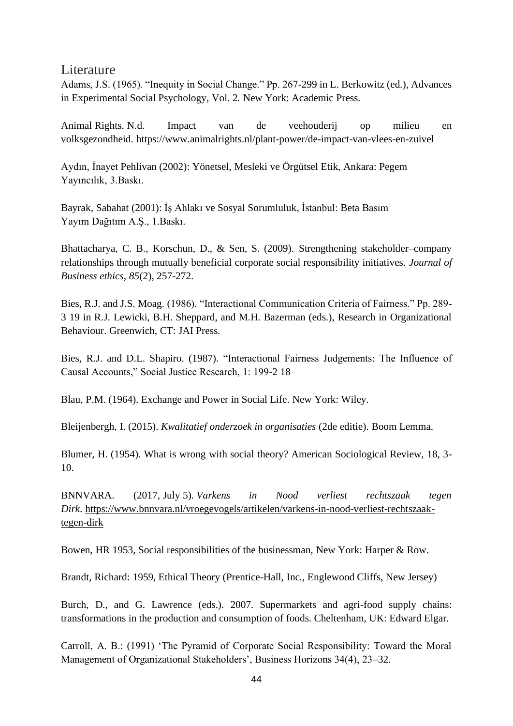# <span id="page-43-0"></span>**Literature**

Adams, J.S. (1965). "Inequity in Social Change." Pp. 267-299 in L. Berkowitz (ed.), Advances in Experimental Social Psychology, Vol. 2. New York: Academic Press.

Animal Rights. N.d. Impact van de veehouderij op milieu en volksgezondheid. <https://www.animalrights.nl/plant-power/de-impact-van-vlees-en-zuivel>

Aydın, İnayet Pehlivan (2002): Yönetsel, Mesleki ve Örgütsel Etik, Ankara: Pegem Yayıncılık, 3.Baskı.

Bayrak, Sabahat (2001): İş Ahlakı ve Sosyal Sorumluluk, İstanbul: Beta Basım Yayım Dağıtım A.Ş., 1.Baskı.

Bhattacharya, C. B., Korschun, D., & Sen, S. (2009). Strengthening stakeholder–company relationships through mutually beneficial corporate social responsibility initiatives. *Journal of Business ethics*, *85*(2), 257-272.

Bies, R.J. and J.S. Moag. (1986). "Interactional Communication Criteria of Fairness." Pp. 289- 3 19 in R.J. Lewicki, B.H. Sheppard, and M.H. Bazerman (eds.), Research in Organizational Behaviour. Greenwich, CT: JAI Press.

Bies, R.J. and D.L. Shapiro. (1987). "Interactional Fairness Judgements: The Influence of Causal Accounts," Social Justice Research, 1: 199-2 18

Blau, P.M. (1964). Exchange and Power in Social Life. New York: Wiley.

Bleijenbergh, I. (2015). *Kwalitatief onderzoek in organisaties* (2de editie). Boom Lemma.

Blumer, H. (1954). What is wrong with social theory? American Sociological Review, 18, 3- 10.

BNNVARA. (2017, July 5). *Varkens in Nood verliest rechtszaak tegen Dirk*. [https://www.bnnvara.nl/vroegevogels/artikelen/varkens-in-nood-verliest-rechtszaak](https://www.bnnvara.nl/vroegevogels/artikelen/varkens-in-nood-verliest-rechtszaak-tegen-dirk)[tegen-dirk](https://www.bnnvara.nl/vroegevogels/artikelen/varkens-in-nood-verliest-rechtszaak-tegen-dirk)

Bowen, HR 1953, Social responsibilities of the businessman, New York: Harper & Row.

Brandt, Richard: 1959, Ethical Theory (Prentice-Hall, Inc., Englewood Cliffs, New Jersey)

Burch, D., and G. Lawrence (eds.). 2007. Supermarkets and agri-food supply chains: transformations in the production and consumption of foods. Cheltenham, UK: Edward Elgar.

Carroll, A. B.: (1991) 'The Pyramid of Corporate Social Responsibility: Toward the Moral Management of Organizational Stakeholders', Business Horizons 34(4), 23–32.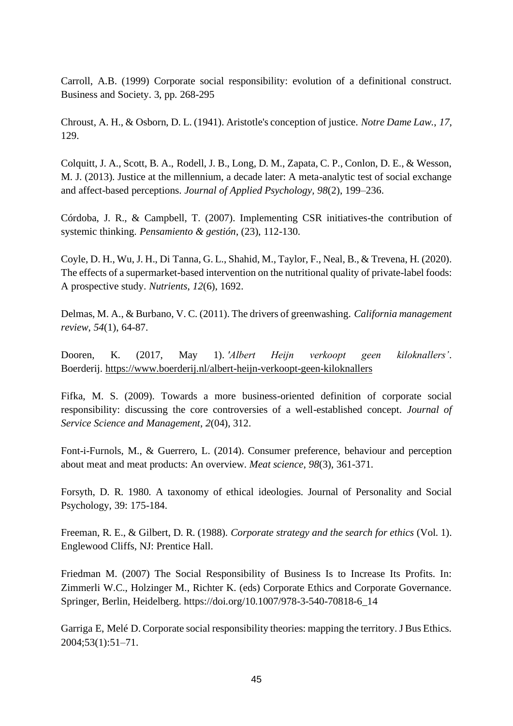Carroll, A.B. (1999) Corporate social responsibility: evolution of a definitional construct. Business and Society. 3, pp. 268-295

Chroust, A. H., & Osborn, D. L. (1941). Aristotle's conception of justice. *Notre Dame Law.*, *17*, 129.

Colquitt, J. A., Scott, B. A., Rodell, J. B., Long, D. M., Zapata, C. P., Conlon, D. E., & Wesson, M. J. (2013). Justice at the millennium, a decade later: A meta-analytic test of social exchange and affect-based perceptions. *Journal of Applied Psychology, 98*(2), 199–236.

Córdoba, J. R., & Campbell, T. (2007). Implementing CSR initiatives-the contribution of systemic thinking. *Pensamiento & gestión*, (23), 112-130.

Coyle, D. H., Wu, J. H., Di Tanna, G. L., Shahid, M., Taylor, F., Neal, B., & Trevena, H. (2020). The effects of a supermarket-based intervention on the nutritional quality of private-label foods: A prospective study. *Nutrients*, *12*(6), 1692.

Delmas, M. A., & Burbano, V. C. (2011). The drivers of greenwashing. *California management review*, *54*(1), 64-87.

Dooren, K. (2017, May 1). *'Albert Heijn verkoopt geen kiloknallers'*. Boerderij. <https://www.boerderij.nl/albert-heijn-verkoopt-geen-kiloknallers>

Fifka, M. S. (2009). Towards a more business-oriented definition of corporate social responsibility: discussing the core controversies of a well-established concept. *Journal of Service Science and Management*, *2*(04), 312.

Font-i-Furnols, M., & Guerrero, L. (2014). Consumer preference, behaviour and perception about meat and meat products: An overview. *Meat science*, *98*(3), 361-371.

Forsyth, D. R. 1980. A taxonomy of ethical ideologies. Journal of Personality and Social Psychology, 39: 175-184.

Freeman, R. E., & Gilbert, D. R. (1988). *Corporate strategy and the search for ethics* (Vol. 1). Englewood Cliffs, NJ: Prentice Hall.

Friedman M. (2007) The Social Responsibility of Business Is to Increase Its Profits. In: Zimmerli W.C., Holzinger M., Richter K. (eds) Corporate Ethics and Corporate Governance. Springer, Berlin, Heidelberg. https://doi.org/10.1007/978-3-540-70818-6\_14

Garriga E, Melé D. Corporate social responsibility theories: mapping the territory. J Bus Ethics. 2004;53(1):51–71.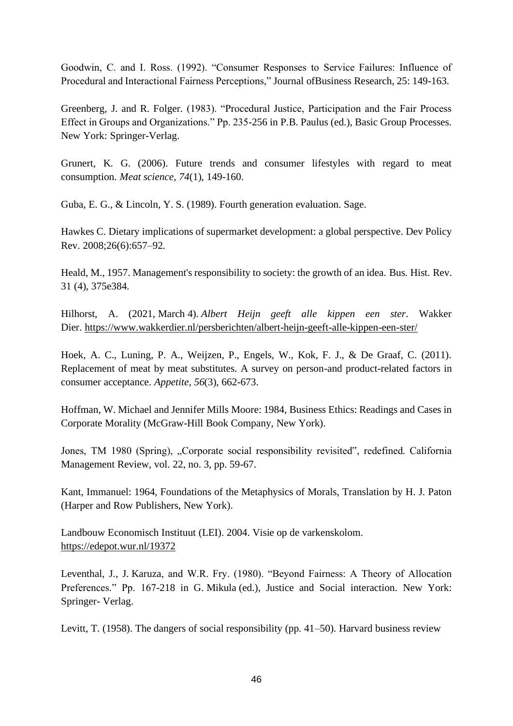Goodwin, C. and I. Ross. (1992). "Consumer Responses to Service Failures: Influence of Procedural and Interactional Fairness Perceptions," Journal ofBusiness Research, 25: 149-163.

Greenberg, J. and R. Folger. (1983). "Procedural Justice, Participation and the Fair Process Effect in Groups and Organizations." Pp. 235-256 in P.B. Paulus (ed.), Basic Group Processes. New York: Springer-Verlag.

Grunert, K. G. (2006). Future trends and consumer lifestyles with regard to meat consumption. *Meat science*, *74*(1), 149-160.

Guba, E. G., & Lincoln, Y. S. (1989). Fourth generation evaluation. Sage.

Hawkes C. Dietary implications of supermarket development: a global perspective. Dev Policy Rev. 2008;26(6):657–92.

Heald, M., 1957. Management's responsibility to society: the growth of an idea. Bus. Hist. Rev. 31 (4), 375e384.

Hilhorst, A. (2021, March 4). *Albert Heijn geeft alle kippen een ster*. Wakker Dier. <https://www.wakkerdier.nl/persberichten/albert-heijn-geeft-alle-kippen-een-ster/>

Hoek, A. C., Luning, P. A., Weijzen, P., Engels, W., Kok, F. J., & De Graaf, C. (2011). Replacement of meat by meat substitutes. A survey on person-and product-related factors in consumer acceptance. *Appetite*, *56*(3), 662-673.

Hoffman, W. Michael and Jennifer Mills Moore: 1984, Business Ethics: Readings and Cases in Corporate Morality (McGraw-Hill Book Company, New York).

Jones, TM 1980 (Spring), "Corporate social responsibility revisited", redefined. California Management Review, vol. 22, no. 3, pp. 59-67.

Kant, Immanuel: 1964, Foundations of the Metaphysics of Morals, Translation by H. J. Paton (Harper and Row Publishers, New York).

Landbouw Economisch Instituut (LEI). 2004. Visie op de varkenskolom. <https://edepot.wur.nl/19372>

Leventhal, J., J. Karuza, and W.R. Fry. (1980). "Beyond Fairness: A Theory of Allocation Preferences." Pp. 167-218 in G. Mikula (ed.), Justice and Social interaction. New York: Springer- Verlag.

Levitt, T. (1958). The dangers of social responsibility (pp. 41–50). Harvard business review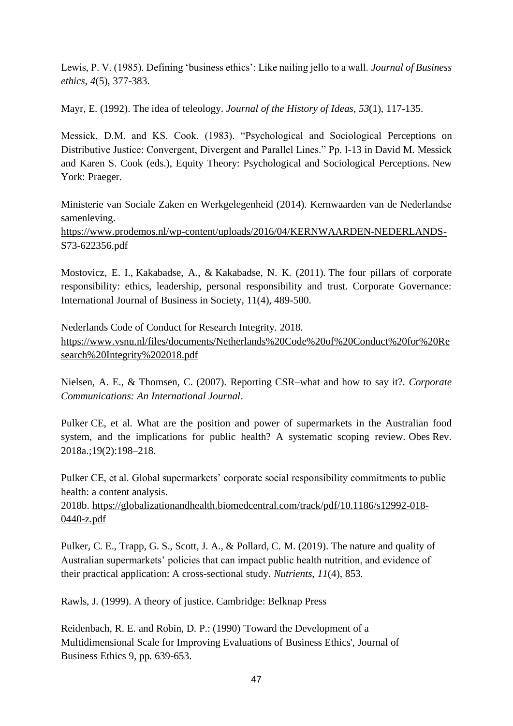Lewis, P. V. (1985). Defining 'business ethics': Like nailing jello to a wall. *Journal of Business ethics*, *4*(5), 377-383.

Mayr, E. (1992). The idea of teleology. *Journal of the History of Ideas*, *53*(1), 117-135.

Messick, D.M. and KS. Cook. (1983). "Psychological and Sociological Perceptions on Distributive Justice: Convergent, Divergent and Parallel Lines." Pp. l-13 in David M. Messick and Karen S. Cook (eds.), Equity Theory: Psychological and Sociological Perceptions. New York: Praeger.

Ministerie van Sociale Zaken en Werkgelegenheid (2014). Kernwaarden van de Nederlandse samenleving.

[https://www.prodemos.nl/wp-content/uploads/2016/04/KERNWAARDEN-NEDERLANDS-](https://www.prodemos.nl/wp-content/uploads/2016/04/KERNWAARDEN-NEDERLANDS-S73-622356.pdf)[S73-622356.pdf](https://www.prodemos.nl/wp-content/uploads/2016/04/KERNWAARDEN-NEDERLANDS-S73-622356.pdf)

Mostovicz, E. I., Kakabadse, A., & Kakabadse, N. K. (2011). The four pillars of corporate responsibility: ethics, leadership, personal responsibility and trust. Corporate Governance: International Journal of Business in Society, 11(4), 489-500.

Nederlands Code of Conduct for Research Integrity. 2018. [https://www.vsnu.nl/files/documents/Netherlands%20Code%20of%20Conduct%20for%20Re](https://www.vsnu.nl/files/documents/Netherlands%20Code%20of%20Conduct%20for%20Research%20Integrity%202018.pdf) [search%20Integrity%202018.pdf](https://www.vsnu.nl/files/documents/Netherlands%20Code%20of%20Conduct%20for%20Research%20Integrity%202018.pdf)

Nielsen, A. E., & Thomsen, C. (2007). Reporting CSR–what and how to say it?. *Corporate Communications: An International Journal*.

Pulker CE, et al. What are the position and power of supermarkets in the Australian food system, and the implications for public health? A systematic scoping review. Obes Rev. 2018a.;19(2):198–218.

Pulker CE, et al. Global supermarkets' corporate social responsibility commitments to public health: a content analysis.

2018b. [https://globalizationandhealth.biomedcentral.com/track/pdf/10.1186/s12992-018-](https://globalizationandhealth.biomedcentral.com/track/pdf/10.1186/s12992-018-0440-z.pdf) [0440-z.pdf](https://globalizationandhealth.biomedcentral.com/track/pdf/10.1186/s12992-018-0440-z.pdf)

Pulker, C. E., Trapp, G. S., Scott, J. A., & Pollard, C. M. (2019). The nature and quality of Australian supermarkets' policies that can impact public health nutrition, and evidence of their practical application: A cross-sectional study. *Nutrients*, *11*(4), 853.

Rawls, J. (1999). A theory of justice. Cambridge: Belknap Press

Reidenbach, R. E. and Robin, D. P.: (1990) 'Toward the Development of a Multidimensional Scale for Improving Evaluations of Business Ethics', Journal of Business Ethics 9, pp. 639-653.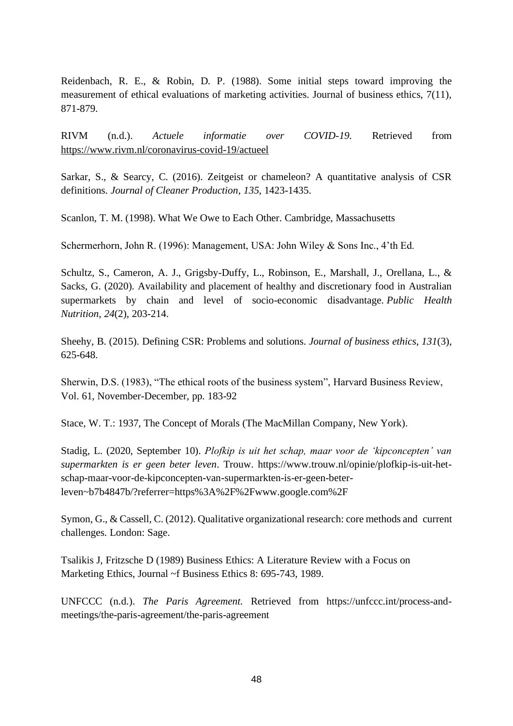Reidenbach, R. E., & Robin, D. P. (1988). Some initial steps toward improving the measurement of ethical evaluations of marketing activities. Journal of business ethics, 7(11), 871-879.

RIVM (n.d.). *Actuele informatie over COVID-19.* Retrieved from <https://www.rivm.nl/coronavirus-covid-19/actueel>

Sarkar, S., & Searcy, C. (2016). Zeitgeist or chameleon? A quantitative analysis of CSR definitions. *Journal of Cleaner Production*, *135*, 1423-1435.

Scanlon, T. M. (1998). What We Owe to Each Other. Cambridge, Massachusetts

Schermerhorn, John R. (1996): Management, USA: John Wiley & Sons Inc., 4'th Ed.

Schultz, S., Cameron, A. J., Grigsby-Duffy, L., Robinson, E., Marshall, J., Orellana, L., & Sacks, G. (2020). Availability and placement of healthy and discretionary food in Australian supermarkets by chain and level of socio-economic disadvantage. *Public Health Nutrition*, *24*(2), 203-214.

Sheehy, B. (2015). Defining CSR: Problems and solutions. *Journal of business ethics*, *131*(3), 625-648.

Sherwin, D.S. (1983), "The ethical roots of the business system", Harvard Business Review, Vol. 61, November-December, pp. 183-92

Stace, W. T.: 1937, The Concept of Morals (The MacMillan Company, New York).

Stadig, L. (2020, September 10). *Plofkip is uit het schap, maar voor de 'kipconcepten' van supermarkten is er geen beter leven*. Trouw. https://www.trouw.nl/opinie/plofkip-is-uit-hetschap-maar-voor-de-kipconcepten-van-supermarkten-is-er-geen-beterleven~b7b4847b/?referrer=https%3A%2F%2Fwww.google.com%2F

Symon, G., & Cassell, C. (2012). Qualitative organizational research: core methods and current challenges. London: Sage.

Tsalikis J, Fritzsche D (1989) Business Ethics: A Literature Review with a Focus on Marketing Ethics, Journal ~f Business Ethics 8: 695-743, 1989.

UNFCCC (n.d.). *The Paris Agreement.* Retrieved from https://unfccc.int/process-andmeetings/the-paris-agreement/the-paris-agreement